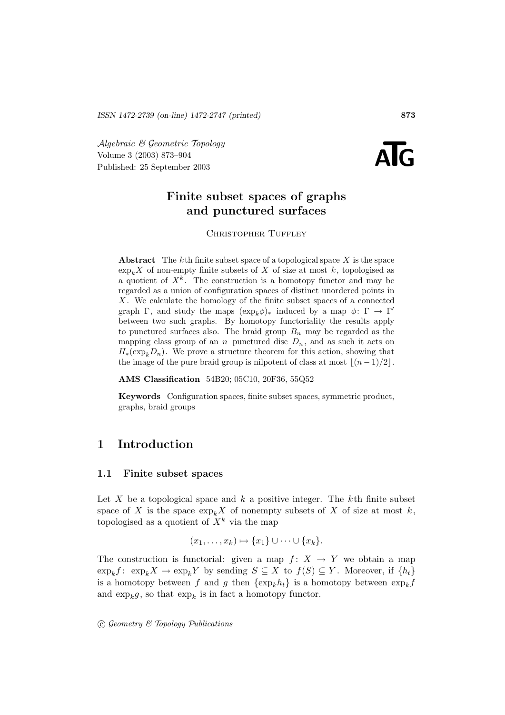Algebraic & Geometric Topology Published: 25 September 2003 **ATG** Volume 3 (2003) 873–904



# **Finite subset spaces of graphs and punctured surfaces**

CHRISTOPHER TUFFLEY

**Abstract** The kth finite subset space of a topological space X is the space  $\exp_k X$  of non-empty finite subsets of X of size at most k, topologised as a quotient of  $X^k$ . The construction is a homotopy functor and may be regarded as a union of configuration spaces of distinct unordered points in  $X$ . We calculate the homology of the finite subset spaces of a connected graph Γ, and study the maps  $(\exp_k \phi)_*$  induced by a map  $\phi: \Gamma \to \Gamma'$ between two such graphs. By homotopy functoriality the results apply to punctured surfaces also. The braid group  $B_n$  may be regarded as the mapping class group of an *n*-punctured disc  $D_n$ , and as such it acts on  $H_*(\exp_k D_n)$ . We prove a structure theorem for this action, showing that the image of the pure braid group is nilpotent of class at most  $|(n - 1)/2|$ .

**AMS Classification** 54B20; 05C10, 20F36, 55Q52

**Keywords** Configuration spaces, finite subset spaces, symmetric product, graphs, braid groups

# **1 Introduction**

#### **1.1 Finite subset spaces**

Let X be a topological space and  $k$  a positive integer. The  $k$ <sup>th</sup> finite subset space of X is the space  $\exp_k X$  of nonempty subsets of X of size at most k, topologised as a quotient of  $X^k$  via the map

$$
(x_1,\ldots,x_k)\mapsto \{x_1\}\cup\cdots\cup\{x_k\}.
$$

The construction is functorial: given a map  $f: X \to Y$  we obtain a map  $\exp_k f: \exp_k X \to \exp_k Y$  by sending  $S \subseteq X$  to  $f(S) \subseteq Y$ . Moreover, if  $\{h_t\}$ is a homotopy between f and g then  $\{\exp_k h_t\}$  is a homotopy between  $\exp_k f$ and  $\exp_k g$ , so that  $\exp_k$  is in fact a homotopy functor.

 $\odot$  Geometry & Topology Publications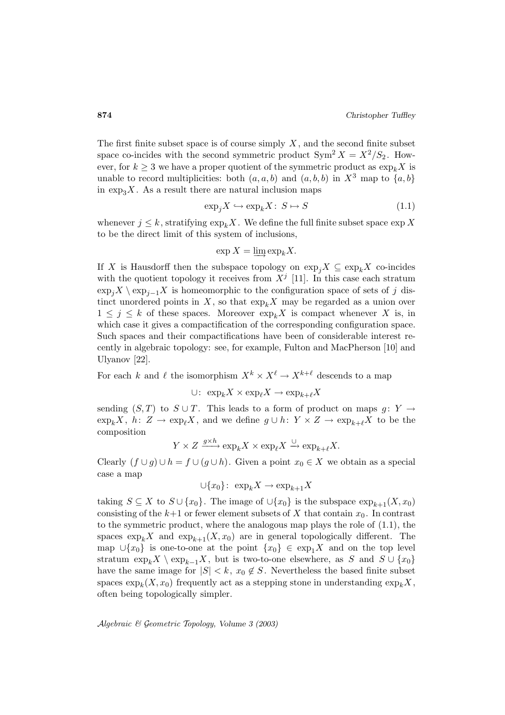The first finite subset space is of course simply  $X$ , and the second finite subset space co-incides with the second symmetric product  $\text{Sym}^2 X = X^2/S_2$ . However, for  $k \geq 3$  we have a proper quotient of the symmetric product as  $\exp_k X$  is unable to record multiplicities: both  $(a, a, b)$  and  $(a, b, b)$  in  $X^3$  map to  $\{a, b\}$ in  $\exp_3 X$ . As a result there are natural inclusion maps

$$
\exp_j X \hookrightarrow \exp_k X \colon S \mapsto S \tag{1.1}
$$

whenever  $j \leq k$ , stratifying  $\exp_k X$ . We define the full finite subset space  $\exp X$ to be the direct limit of this system of inclusions,

$$
\exp X = \varinjlim \exp_k X.
$$

If X is Hausdorff then the subspace topology on  $\exp_i X \subseteq \exp_k X$  co-incides with the quotient topology it receives from  $X<sup>j</sup>$  [11]. In this case each stratum  $\exp_i X \setminus \exp_{i-1} X$  is homeomorphic to the configuration space of sets of j distinct unordered points in X, so that  $\exp_k X$  may be regarded as a union over  $1 \leq j \leq k$  of these spaces. Moreover  $\exp_k X$  is compact whenever X is, in which case it gives a compactification of the corresponding configuration space. Such spaces and their compactifications have been of considerable interest recently in algebraic topology: see, for example, Fulton and MacPherson [10] and Ulyanov [22].

For each k and  $\ell$  the isomorphism  $X^k \times X^{\ell} \to X^{k+\ell}$  descends to a map

∪:  $\exp_k X \times \exp_{\ell} X \to \exp_{k+\ell} X$ 

sending  $(S, T)$  to  $S \cup T$ . This leads to a form of product on maps  $g: Y \rightarrow$  $\exp_k X$ ,  $h: Z \to \exp_{\ell} X$ , and we define  $g \cup h: Y \times Z \to \exp_{k+\ell} X$  to be the composition

$$
Y\times Z\xrightarrow{g\times h}\exp_kX\times \exp_{\ell}X\xrightarrow{\cup}\exp_{k+\ell}X.
$$

Clearly  $(f \cup g) \cup h = f \cup (g \cup h)$ . Given a point  $x_0 \in X$  we obtain as a special case a map

$$
\cup \{x_0\} \colon \exp_k X \to \exp_{k+1} X
$$

taking  $S \subseteq X$  to  $S \cup \{x_0\}$ . The image of  $\cup \{x_0\}$  is the subspace  $\exp_{k+1}(X, x_0)$ consisting of the  $k+1$  or fewer element subsets of X that contain  $x_0$ . In contrast to the symmetric product, where the analogous map plays the role of (1.1), the spaces  $\exp_k X$  and  $\exp_{k+1}(X, x_0)$  are in general topologically different. The map  $\cup \{x_0\}$  is one-to-one at the point  $\{x_0\} \in \exp<sub>1</sub> X$  and on the top level stratum  $\exp_k X \setminus \exp_{k-1} X$ , but is two-to-one elsewhere, as S and  $S \cup \{x_0\}$ have the same image for  $|S| < k$ ,  $x_0 \notin S$ . Nevertheless the based finite subset spaces  $\exp_k(X, x_0)$  frequently act as a stepping stone in understanding  $\exp_k X$ , often being topologically simpler.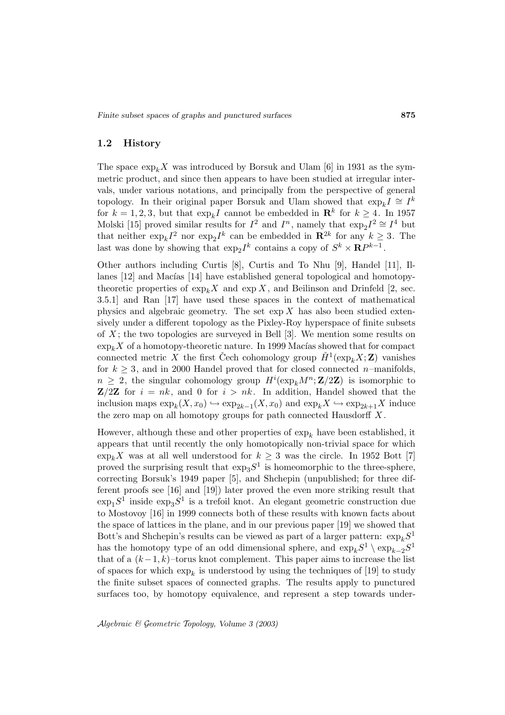## **1.2 History**

The space  $\exp_k X$  was introduced by Borsuk and Ulam [6] in 1931 as the symmetric product, and since then appears to have been studied at irregular intervals, under various notations, and principally from the perspective of general topology. In their original paper Borsuk and Ulam showed that  $\exp_k I \cong I^k$ for  $k = 1, 2, 3$ , but that  $\exp_k I$  cannot be embedded in  $\mathbb{R}^k$  for  $k \geq 4$ . In 1957 Molski [15] proved similar results for  $I^2$  and  $I^n$ , namely that  $\exp_2 I^2 \cong I^4$  but that neither  $\exp_k I^2$  nor  $\exp_2 I^k$  can be embedded in  $\mathbb{R}^{2k}$  for any  $k \geq 3$ . The last was done by showing that  $\exp_2I^k$  contains a copy of  $S^k \times \mathbb{R}P^{k-1}$ .

Other authors including Curtis [8], Curtis and To Nhu [9], Handel [11], Illanes [12] and Macías [14] have established general topological and homotopytheoretic properties of  $\exp_k X$  and  $\exp X$ , and Beilinson and Drinfeld [2, sec. 3.5.1] and Ran [17] have used these spaces in the context of mathematical physics and algebraic geometry. The set  $\exp X$  has also been studied extensively under a different topology as the Pixley-Roy hyperspace of finite subsets of  $X$ ; the two topologies are surveyed in Bell [3]. We mention some results on  $\exp_k X$  of a homotopy-theoretic nature. In 1999 Macías showed that for compact connected metric X the first Čech cohomology group  $\check{H}^1(\exp_k X; \mathbf{Z})$  vanishes for  $k \geq 3$ , and in 2000 Handel proved that for closed connected *n*-manifolds,  $n \geq 2$ , the singular cohomology group  $H^{i}(\exp_{k}M^{n};\mathbf{Z}/2\mathbf{Z})$  is isomorphic to **Z**/2**Z** for  $i = nk$ , and 0 for  $i > nk$ . In addition, Handel showed that the inclusion maps  $\exp_k(X, x_0) \hookrightarrow \exp_{2k-1}(X, x_0)$  and  $\exp_kX \hookrightarrow \exp_{2k+1}X$  induce the zero map on all homotopy groups for path connected Hausdorff  $X$ .

However, although these and other properties of  $\exp_k$  have been established, it appears that until recently the only homotopically non-trivial space for which  $\exp_k X$  was at all well understood for  $k \geq 3$  was the circle. In 1952 Bott [7] proved the surprising result that  $\exp_{3}S^{1}$  is homeomorphic to the three-sphere, correcting Borsuk's 1949 paper [5], and Shchepin (unpublished; for three different proofs see [16] and [19]) later proved the even more striking result that  $\exp_{1}S^{1}$  inside  $\exp_{3}S^{1}$  is a trefoil knot. An elegant geometric construction due to Mostovoy [16] in 1999 connects both of these results with known facts about the space of lattices in the plane, and in our previous paper [19] we showed that Bott's and Shchepin's results can be viewed as part of a larger pattern:  $\exp_k S^1$ has the homotopy type of an odd dimensional sphere, and  $\exp_k S^1 \setminus \exp_{k-2} S^1$ that of a  $(k-1, k)$ –torus knot complement. This paper aims to increase the list of spaces for which  $\exp_k$  is understood by using the techniques of [19] to study the finite subset spaces of connected graphs. The results apply to punctured surfaces too, by homotopy equivalence, and represent a step towards under-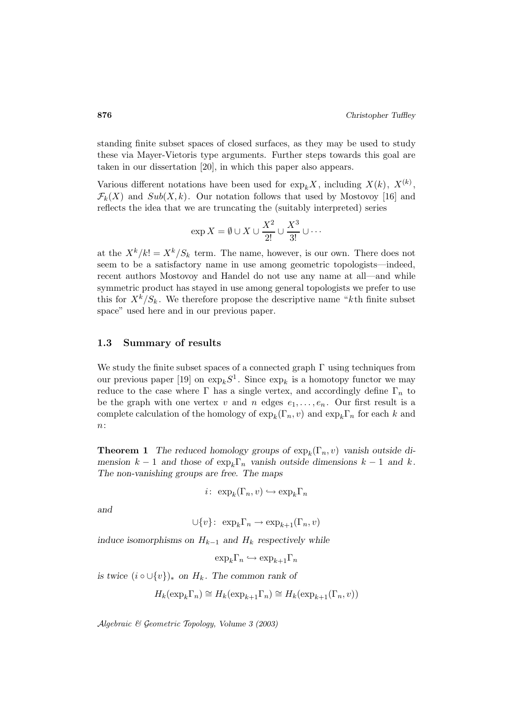standing finite subset spaces of closed surfaces, as they may be used to study these via Mayer-Vietoris type arguments. Further steps towards this goal are taken in our dissertation [20], in which this paper also appears.

Various different notations have been used for  $\exp_k X$ , including  $X(k)$ ,  $X^{(k)}$ ,  $\mathcal{F}_k(X)$  and  $Sub(X, k)$ . Our notation follows that used by Mostovoy [16] and reflects the idea that we are truncating the (suitably interpreted) series

$$
\exp X = \emptyset \cup X \cup \frac{X^2}{2!} \cup \frac{X^3}{3!} \cup \cdots
$$

at the  $X^k/k! = X^k/S_k$  term. The name, however, is our own. There does not seem to be a satisfactory name in use among geometric topologists—indeed, recent authors Mostovoy and Handel do not use any name at all—and while symmetric product has stayed in use among general topologists we prefer to use this for  $X^k/S_k$ . We therefore propose the descriptive name "kth finite subset space" used here and in our previous paper.

### **1.3 Summary of results**

We study the finite subset spaces of a connected graph  $\Gamma$  using techniques from our previous paper [19] on  $\exp_k S^1$ . Since  $\exp_k$  is a homotopy functor we may reduce to the case where  $\Gamma$  has a single vertex, and accordingly define  $\Gamma_n$  to be the graph with one vertex v and n edges  $e_1, \ldots, e_n$ . Our first result is a complete calculation of the homology of  $\exp_k(\Gamma_n, v)$  and  $\exp_k\Gamma_n$  for each k and n:

**Theorem 1** *The reduced homology groups of*  $\exp_k(\Gamma_n, v)$  *vanish outside dimension*  $k - 1$  *and those of*  $\exp_k \Gamma_n$  *vanish outside dimensions*  $k - 1$  *and*  $k$ *. The non-vanishing groups are free. The maps*

$$
i\colon \exp_k(\Gamma_n, v) \hookrightarrow \exp_k \Gamma_n
$$

*and*

$$
\cup \{v\} \colon \; \exp_k \Gamma_n \to \exp_{k+1}(\Gamma_n, v)
$$

*induce isomorphisms on*  $H_{k-1}$  *and*  $H_k$  *respectively while* 

$$
\exp_k \Gamma_n \hookrightarrow \exp_{k+1} \Gamma_n
$$

*is twice*  $(i \circ \cup \{v\})_*$  *on*  $H_k$ *. The common rank of* 

$$
H_k(\exp_k \Gamma_n) \cong H_k(\exp_{k+1} \Gamma_n) \cong H_k(\exp_{k+1}(\Gamma_n,v))
$$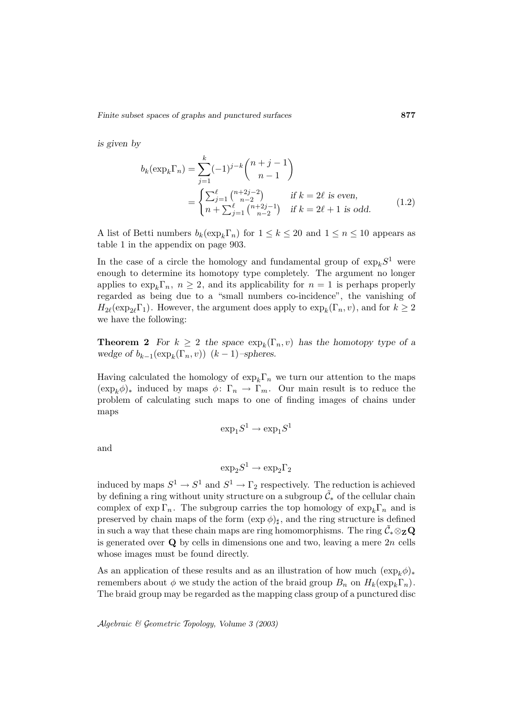*is given by*

$$
b_k(\exp_k \Gamma_n) = \sum_{j=1}^k (-1)^{j-k} \binom{n+j-1}{n-1}
$$
  
= 
$$
\begin{cases} \sum_{j=1}^\ell \binom{n+2j-2}{n-2} & \text{if } k = 2\ell \text{ is even,} \\ n + \sum_{j=1}^\ell \binom{n+2j-1}{n-2} & \text{if } k = 2\ell + 1 \text{ is odd.} \end{cases}
$$
(1.2)

A list of Betti numbers  $b_k(\exp_k\Gamma_n)$  for  $1 \leq k \leq 20$  and  $1 \leq n \leq 10$  appears as table 1 in the appendix on page 903.

In the case of a circle the homology and fundamental group of  $\exp_k S^1$  were enough to determine its homotopy type completely. The argument no longer applies to  $\exp_k\Gamma_n$ ,  $n \geq 2$ , and its applicability for  $n = 1$  is perhaps properly regarded as being due to a "small numbers co-incidence", the vanishing of  $H_{2\ell}(\exp_{2\ell} \Gamma_1)$ . However, the argument does apply to  $\exp_k(\Gamma_n, v)$ , and for  $k \geq 2$ we have the following:

**Theorem 2** *For*  $k \geq 2$  *the space*  $\exp_k(\Gamma_n, v)$  *has the homotopy type of a wedge of*  $b_{k-1}(\exp_k(\Gamma_n, v))$   $(k-1)$ –*spheres.* 

Having calculated the homology of  $\exp_k\Gamma_n$  we turn our attention to the maps  $(\exp_k \phi)_*$  induced by maps  $\phi: \Gamma_n \to \Gamma_m$ . Our main result is to reduce the problem of calculating such maps to one of finding images of chains under maps

$$
\exp_1S^1\to\exp_1S^1
$$

and

$$
\exp_2S^1\to\exp_2\Gamma_2
$$

induced by maps  $S^1 \to S^1$  and  $S^1 \to \Gamma_2$  respectively. The reduction is achieved by defining a ring without unity structure on a subgroup  $\tilde{\mathcal{C}}_*$  of the cellular chain complex of exp  $\Gamma_n$ . The subgroup carries the top homology of  $\exp_k\Gamma_n$  and is preserved by chain maps of the form  $(\exp \phi)_{\sharp}$ , and the ring structure is defined in such a way that these chain maps are ring homomorphisms. The ring  $\tilde{C}_* \otimes_{\mathbf{Z}} \mathbf{Q}$ is generated over  $Q$  by cells in dimensions one and two, leaving a mere  $2n$  cells whose images must be found directly.

As an application of these results and as an illustration of how much  $(\exp_k \phi)_*$ remembers about  $\phi$  we study the action of the braid group  $B_n$  on  $H_k(\exp_k\Gamma_n)$ . The braid group may be regarded as the mapping class group of a punctured disc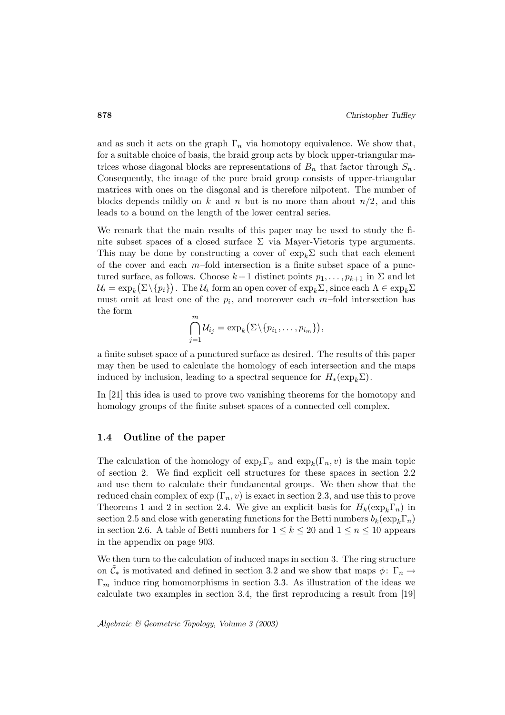and as such it acts on the graph  $\Gamma_n$  via homotopy equivalence. We show that, for a suitable choice of basis, the braid group acts by block upper-triangular matrices whose diagonal blocks are representations of  $B_n$  that factor through  $S_n$ . Consequently, the image of the pure braid group consists of upper-triangular matrices with ones on the diagonal and is therefore nilpotent. The number of blocks depends mildly on k and n but is no more than about  $n/2$ , and this leads to a bound on the length of the lower central series.

We remark that the main results of this paper may be used to study the finite subset spaces of a closed surface  $\Sigma$  via Mayer-Vietoris type arguments. This may be done by constructing a cover of  $\exp_k \Sigma$  such that each element of the cover and each  $m$ -fold intersection is a finite subset space of a punctured surface, as follows. Choose  $k+1$  distinct points  $p_1, \ldots, p_{k+1}$  in  $\Sigma$  and let  $\mathcal{U}_i = \exp_k \bigl( \Sigma \backslash \{ p_i \} \bigr). \text{ The } \mathcal{U}_i \text{ form an open cover of } \exp_k \Sigma \text{, since each } \Lambda \in \exp_k \Sigma$ must omit at least one of the  $p_i$ , and moreover each m–fold intersection has the form

$$
\bigcap_{j=1}^m \mathcal{U}_{i_j} = \exp_k(\Sigma \setminus \{p_{i_1}, \ldots, p_{i_m}\}),
$$

a finite subset space of a punctured surface as desired. The results of this paper may then be used to calculate the homology of each intersection and the maps induced by inclusion, leading to a spectral sequence for  $H_*(\exp_k \Sigma)$ .

In [21] this idea is used to prove two vanishing theorems for the homotopy and homology groups of the finite subset spaces of a connected cell complex.

#### **1.4 Outline of the paper**

The calculation of the homology of  $\exp_k\Gamma_n$  and  $\exp_k(\Gamma_n, v)$  is the main topic of section 2. We find explicit cell structures for these spaces in section 2.2 and use them to calculate their fundamental groups. We then show that the reduced chain complex of  $\exp(\Gamma_n, v)$  is exact in section 2.3, and use this to prove Theorems 1 and 2 in section 2.4. We give an explicit basis for  $H_k(\exp_k\Gamma_n)$  in section 2.5 and close with generating functions for the Betti numbers  $b_k(\exp_k\Gamma_n)$ in section 2.6. A table of Betti numbers for  $1 \leq k \leq 20$  and  $1 \leq n \leq 10$  appears in the appendix on page 903.

We then turn to the calculation of induced maps in section 3. The ring structure on  $\tilde{\mathcal{C}}_*$  is motivated and defined in section 3.2 and we show that maps  $\phi: \Gamma_n \to$  $\Gamma_m$  induce ring homomorphisms in section 3.3. As illustration of the ideas we calculate two examples in section 3.4, the first reproducing a result from [19]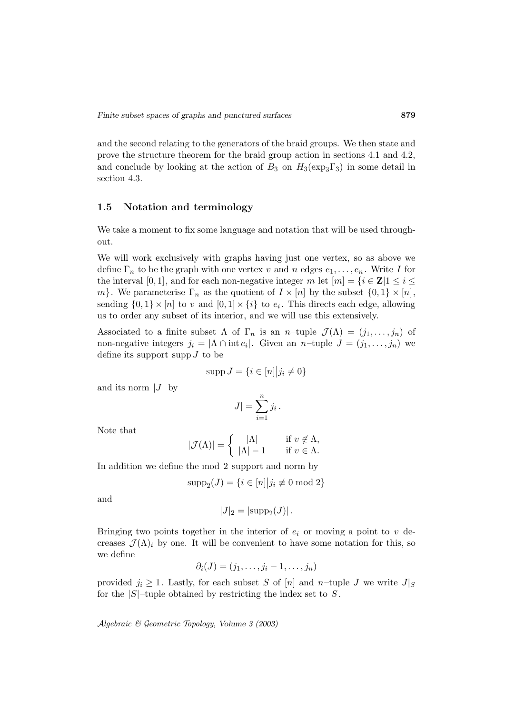and the second relating to the generators of the braid groups. We then state and prove the structure theorem for the braid group action in sections 4.1 and 4.2, and conclude by looking at the action of  $B_3$  on  $H_3(\exp_3\Gamma_3)$  in some detail in section 4.3.

### **1.5 Notation and terminology**

We take a moment to fix some language and notation that will be used throughout.

We will work exclusively with graphs having just one vertex, so as above we define  $\Gamma_n$  to be the graph with one vertex v and n edges  $e_1, \ldots, e_n$ . Write I for the interval [0, 1], and for each non-negative integer  $m$  let  $[m] = \{i \in \mathbb{Z} | 1 \le i \le n\}$ m}. We parameterise  $\Gamma_n$  as the quotient of  $I \times [n]$  by the subset  $\{0,1\} \times [n]$ , sending  $\{0,1\} \times [n]$  to v and  $[0,1] \times \{i\}$  to  $e_i$ . This directs each edge, allowing us to order any subset of its interior, and we will use this extensively. Ĭ

Associated to a finite subset  $\Lambda$  of  $\Gamma_n$  is an n-tuple  $\mathcal{J}(\Lambda) = (j_1, \ldots, j_n)$  of non-negative integers  $j_i = |\Lambda \cap \text{int } e_i|$ . Given an n-tuple  $J = (j_1, \ldots, j_n)$  we define its support supp  $J$  to be

$$
\operatorname{supp} J = \{ i \in [n] | j_i \neq 0 \}
$$

and its norm  $|J|$  by

$$
J = \{i \in [n] | j_i
$$

$$
|J| = \sum_{i=1}^{n} j_i.
$$

Note that

$$
|\mathcal{J}(\Lambda)| = \begin{cases} |\Lambda| & \text{if } v \notin \Lambda, \\ |\Lambda| - 1 & \text{if } v \in \Lambda. \end{cases}
$$

In addition we define the mod 2 support and norm by

$$
supp_2(J) = \{i \in [n]| j_i \not\equiv 0 \bmod 2\}
$$

and

 $|J|_2 = |\text{supp}_2(J)|$ .

Bringing two points together in the interior of  $e_i$  or moving a point to  $v$  decreases  $\mathcal{J}(\Lambda)_i$  by one. It will be convenient to have some notation for this, so we define

$$
\partial_i(J)=(j_1,\ldots,j_i-1,\ldots,j_n)
$$

provided  $j_i \geq 1$ . Lastly, for each subset S of [n] and n-tuple J we write  $J|_S$ for the  $|S|$ -tuple obtained by restricting the index set to S.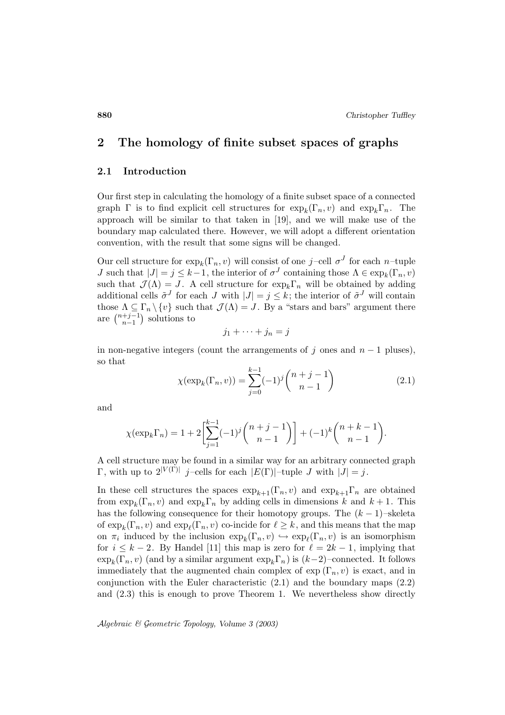# **2 The homology of finite subset spaces of graphs**

## **2.1 Introduction**

Our first step in calculating the homology of a finite subset space of a connected graph  $\Gamma$  is to find explicit cell structures for  $\exp_k(\Gamma_n, v)$  and  $\exp_k\Gamma_n$ . The approach will be similar to that taken in [19], and we will make use of the boundary map calculated there. However, we will adopt a different orientation convention, with the result that some signs will be changed.

Our cell structure for  $\exp_k(\Gamma_n, v)$  will consist of one j-cell  $\sigma^J$  for each n-tuple J such that  $|J| = j \leq k-1$ , the interior of  $\sigma^{J}$  containing those  $\Lambda \in \exp_k(\Gamma_n, v)$ such that  $\mathcal{J}(\Lambda) = J$ . A cell structure for  $\exp_k \Gamma_n$  will be obtained by adding additional cells  $\tilde{\sigma}^J$  for each J with  $|J| = j \leq k$ ; the interior of  $\tilde{\sigma}^J$  will contain those  $\Lambda \subseteq \Gamma_n \setminus \{v\}$  such that  $\mathcal{J}(\Lambda) = J$ . By a "stars and bars" argument there *J* such that  $|J| = j \le k$ .<br>such that  $\mathcal{J}(\Lambda) = J$ . A<br>additional cells  $\tilde{\sigma}^J$  for ea<br>those  $\Lambda \subseteq \Gamma_n \setminus \{v\}$  such<br>are  $\binom{n+j-1}{n-1}$  solutions to

$$
j_1 + \dots + j_n = j
$$

in non-negative integers (count the arrangements of j ones and  $n-1$  pluses), so that  $j_1 + \cdots +$ <br>gers (count the arrar<br> $\chi(\exp_k(\Gamma_n, v)) = \sum^{k-1}$ 

$$
\chi(\exp_k(\Gamma_n, v)) = \sum_{j=0}^{k-1} (-1)^j \binom{n+j-1}{n-1}
$$
\n(2.1)

and

$$
\chi(\exp_k(\Gamma_n, v)) = \sum_{j=0}^{\infty} (-1)^j \binom{n+j-1}{n-1}
$$
  

$$
\chi(\exp_k \Gamma_n) = 1 + 2 \left[ \sum_{j=1}^{k-1} (-1)^j \binom{n+j-1}{n-1} \right] + (-1)^k \binom{n+k-1}{n-1}.
$$

A cell structure may be found in a similar way for an arbitrary connected graph  $\Gamma$ , with up to  $2^{|V(\Gamma)|}$  j-cells for each  $|E(\Gamma)|$ -tuple J with  $|J| = j$ .

In these cell structures the spaces  $\exp_{k+1}(\Gamma_n, v)$  and  $\exp_{k+1}(\Gamma_n, v)$  are obtained from  $\exp_k(\Gamma_n, v)$  and  $\exp_k\Gamma_n$  by adding cells in dimensions k and  $k+1$ . This has the following consequence for their homotopy groups. The  $(k-1)$ –skeleta of  $\exp_k(\Gamma_n, v)$  and  $\exp_\ell(\Gamma_n, v)$  co-incide for  $\ell \geq k$ , and this means that the map on  $\pi_i$  induced by the inclusion  $\exp_k(\Gamma_n, v) \hookrightarrow \exp_\ell(\Gamma_n, v)$  is an isomorphism for  $i \leq k - 2$ . By Handel [11] this map is zero for  $\ell = 2k - 1$ , implying that  $\exp_k(\Gamma_n, v)$  (and by a similar argument  $\exp_k\Gamma_n$ ) is  $(k-2)$ –connected. It follows immediately that the augmented chain complex of  $\exp(\Gamma_n, v)$  is exact, and in conjunction with the Euler characteristic (2.1) and the boundary maps (2.2) and (2.3) this is enough to prove Theorem 1. We nevertheless show directly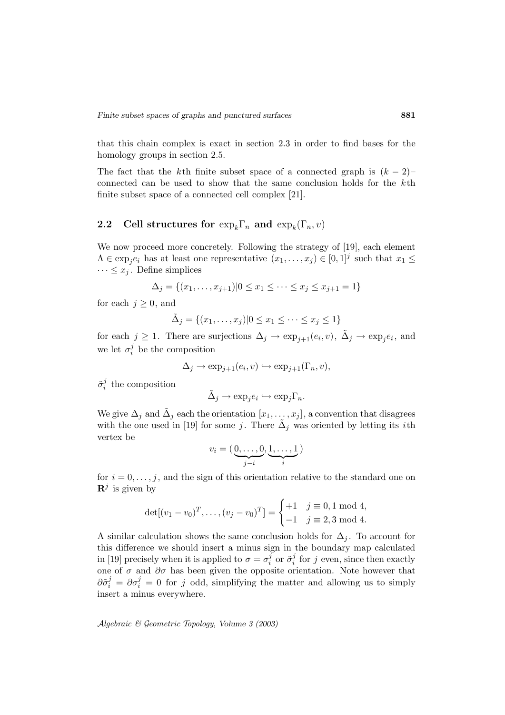that this chain complex is exact in section 2.3 in order to find bases for the homology groups in section 2.5.

The fact that the k<sup>th</sup> finite subset space of a connected graph is  $(k-2)$ – connected can be used to show that the same conclusion holds for the kth finite subset space of a connected cell complex [21].

# **2.2** Cell structures for  $\exp_k\Gamma_n$  and  $\exp_k(\Gamma_n, v)$

We now proceed more concretely. Following the strategy of [19], each element  $\Lambda \in \exp_i e_i$  has at least one representative  $(x_1,\ldots,x_j) \in [0,1]^j$  such that  $x_1 \leq$  $\cdots \leq x_j$ . Define simplices

$$
\Delta_j = \{(x_1, \dots, x_{j+1}) | 0 \le x_1 \le \dots \le x_j \le x_{j+1} = 1\}
$$

for each  $j \geq 0$ , and

$$
\tilde{\Delta}_j = \{(x_1, \dots, x_j) | 0 \le x_1 \le \dots \le x_j \le 1\}
$$

for each  $j \ge 1$ . There are surjections  $\Delta_j \to \exp_{j+1}(e_i, v)$ ,  $\tilde{\Delta}_j \to \exp_j e_i$ , and we let  $\sigma_i^j$  be the composition

$$
\Delta_j \to \exp_{j+1}(e_i, v) \hookrightarrow \exp_{j+1}(\Gamma_n, v),
$$

 $\tilde{\sigma}_{i}^{j}$  the composition

$$
\tilde{\Delta}_j \to \exp_j e_i \hookrightarrow \exp_j \Gamma_n.
$$

We give  $\Delta_j$  and  $\tilde{\Delta}_j$  each the orientation  $[x_1, \ldots, x_j]$ , a convention that disagrees<br>with the one used in [19] for some *j*. There  $\tilde{\Delta}_j$  was oriented by letting its *i*th<br>vertex be<br> $v_i = (\underbrace{0, \ldots, 0}_{i}, \underbrace{1, \ldots,$ with the one used in [19] for some j. There  $\Delta_i$  was oriented by letting its *i*th vertex be

$$
v_i = (\underbrace{0, \ldots, 0}_{j-i}, \underbrace{1, \ldots, 1}_{i})
$$

for  $i = 0, \ldots, j$ , and the sign of this orientation relative to the standard one on  $\mathbf{R}^j$  is given by  $T = \begin{cases} T \end{cases}$ 

$$
\det[(v_1 - v_0)^T, \dots, (v_j - v_0)^T] = \begin{cases} +1 & j \equiv 0, 1 \text{ mod } 4, \\ -1 & j \equiv 2, 3 \text{ mod } 4. \end{cases}
$$

A similar calculation shows the same conclusion holds for  $\Delta_i$ . To account for this difference we should insert a minus sign in the boundary map calculated in [19] precisely when it is applied to  $\sigma = \sigma_i^j$  or  $\tilde{\sigma}_i^j$  for j even, since then exactly one of  $\sigma$  and  $\partial \sigma$  has been given the opposite orientation. Note however that  $\partial \tilde{\sigma}_i^j = \partial \sigma_i^j = 0$  for j odd, simplifying the matter and allowing us to simply insert a minus everywhere.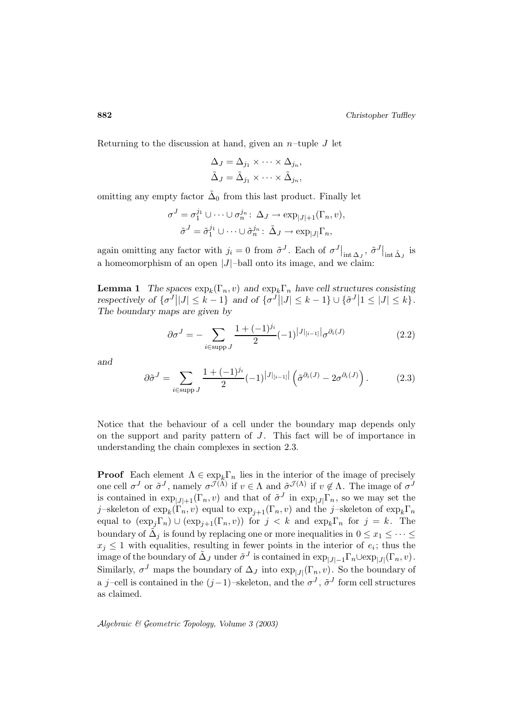Returning to the discussion at hand, given an  $n$ -tuple J let

$$
\Delta_J = \Delta_{j_1} \times \cdots \times \Delta_{j_n},
$$
  

$$
\tilde{\Delta}_J = \tilde{\Delta}_{j_1} \times \cdots \times \tilde{\Delta}_{j_n},
$$

omitting any empty factor  $\tilde{\Delta}_0$  from this last product. Finally let

Continuting any empty factor 
$$
\Delta_0
$$
 from this last product. Finally,

\n
$$
\sigma^J = \sigma_1^{j_1} \cup \cdots \cup \sigma_n^{j_n} \colon \Delta_J \to \exp_{|J|+1}(\Gamma_n, v),
$$
\n
$$
\tilde{\sigma}^J = \tilde{\sigma}_1^{j_1} \cup \cdots \cup \tilde{\sigma}_n^{j_n} \colon \tilde{\Delta}_J \to \exp_{|J|} \Gamma_n,
$$
\nagain omitting any factor with  $j_i = 0$  from  $\tilde{\sigma}^J$ . Each of  $\sigma^J|_i$ .

, $\text{int } \Delta_J, \ \tilde{\sigma}^J \vert$ factor with  $j_i = 0$  from  $\tilde{\sigma}^J$ . Each of  $\sigma^J|_{int \Delta_J}$ ,  $\tilde{\sigma}^J|_{int \Delta_J}$  is a homeomorphism of an open  $|J|$ -ball onto its image, and we claim:

**Lemma 1** *The spaces*  $\exp_k(\Gamma_n, v)$  *and*  $\exp_k\Gamma_n$  *have cell structures consisting* again omitting any factor with  $j_i = 0$  from  $\tilde{\sigma}^J$ . Each of  $\sigma^J|_{int \Delta_J}$ ,  $\tilde{\sigma}^J|_{int \tilde{\Delta}_J}$  is<br>a homeomorphism of an open  $|J|$ -ball onto its image, and we claim:<br>**Lemma 1** The spaces  $\exp_k(\Gamma_n, v)$  and  $\exp_k\Gamma_n$  hav *The boundary maps are given by* spaces  $\exp_k(\Gamma_r)$ <br>  $\sigma^J ||J| \leq k - 1$ <br>
aps are given  $\ell$ <br>  $\partial \sigma^J = - \sum_{i=1}^k \sigma^i$ 

$$
\partial \sigma^{J} = -\sum_{i \in \text{supp } J} \frac{1 + (-1)^{j_i}}{2} (-1)^{|J|_{[i-1]}|} \sigma^{\partial_i(J)}
$$
(2.2)

*and*

$$
\partial \sigma^{J} = -\sum_{i \in \text{supp } J} \frac{1 + (-1)^{j_i}}{2} (-1)^{|J|_{[i-1]}|} \sigma^{\partial_i(J)}
$$
(2.2)  

$$
\partial \tilde{\sigma}^{J} = \sum_{i \in \text{supp } J} \frac{1 + (-1)^{j_i}}{2} (-1)^{|J|_{[i-1]}|} \left( \tilde{\sigma}^{\partial_i(J)} - 2\sigma^{\partial_i(J)} \right).
$$

Notice that the behaviour of a cell under the boundary map depends only on the support and parity pattern of  $J$ . This fact will be of importance in understanding the chain complexes in section 2.3.

**Proof** Each element  $\Lambda \in \exp_k \Gamma_n$  lies in the interior of the image of precisely one cell  $\sigma^J$  or  $\tilde{\sigma}^J$ , namely  $\sigma^{J(\Lambda)}$  if  $v \in \Lambda$  and  $\tilde{\sigma}^{J(\Lambda)}$  if  $v \notin \Lambda$ . The image of  $\sigma^J$ is contained in  $\exp_{|J|+1}(\Gamma_n, v)$  and that of  $\tilde{\sigma}^J$  in  $\exp_{|J|}\Gamma_n$ , so we may set the j-skeleton of  $\exp_k(\Gamma_n, v)$  equal to  $\exp_{j+1}(\Gamma_n, v)$  and the j-skeleton of  $\exp_k\Gamma_n$ equal to  $(\exp_j \Gamma_n) \cup (\exp_{j+1}(\Gamma_n, v))$  for  $j < k$  and  $\exp_k \Gamma_n$  for  $j = k$ . The boundary of  $\tilde{\Delta}_j$  is found by replacing one or more inequalities in  $0 \leq x_1 \leq \cdots \leq$  $x_i \leq 1$  with equalities, resulting in fewer points in the interior of  $e_i$ ; thus the image of the boundary of  $\tilde{\Delta}_J$  under  $\tilde{\sigma}^J$  is contained in  $\exp_{|J|-1}\Gamma_n \cup \exp_{|J|}(\Gamma_n, v)$ . Similarly,  $\sigma^J$  maps the boundary of  $\Delta_J$  into  $\exp_{|J|}(\Gamma_n, v)$ . So the boundary of a j-cell is contained in the  $(j-1)$ –skeleton, and the  $\sigma^J$ ,  $\tilde{\sigma}^J$  form cell structures as claimed.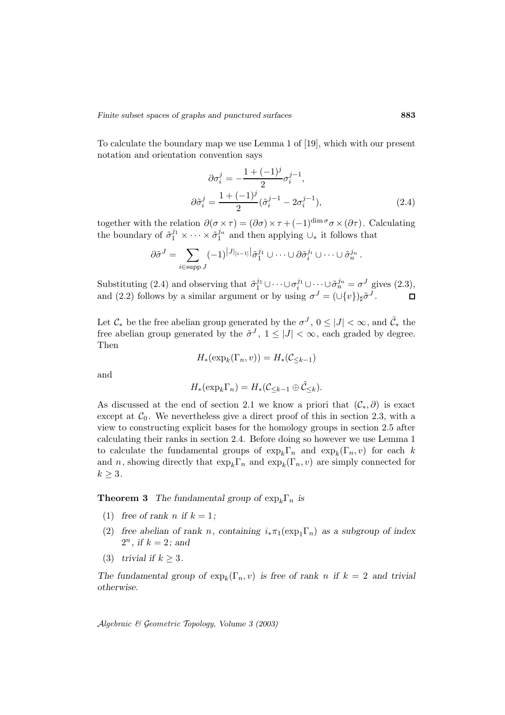To calculate the boundary map we use Lemma 1 of [19], which with our present notation and orientation convention says

$$
\partial \sigma_i^j = -\frac{1 + (-1)^j}{2} \sigma_i^{j-1},
$$
  
\n
$$
\partial \tilde{\sigma}_i^j = \frac{1 + (-1)^j}{2} (\tilde{\sigma}_i^{j-1} - 2\sigma_i^{j-1}),
$$
\n(2.4)

together with the relation  $\partial(\sigma \times \tau) = (\partial \sigma) \times \tau + (-1)^{\dim \sigma} \sigma \times (\partial \tau)$ . Calculating the boundary of  $\tilde{\sigma}_1^{j_1} \times \cdots \times \tilde{\sigma}_1^{j_n}$  and then applying  $\cup_*$  it follows that the relation<br>of  $\tilde{\sigma}_1^{j_1} \times \cdots$ <br> $\partial \tilde{\sigma}^J = \sum$ 

$$
\partial \tilde{\sigma}^J = \sum_{i \in \text{supp } J} (-1)^{|J|_{[i-1]}|} \tilde{\sigma}_1^{j_1} \cup \cdots \cup \partial \tilde{\sigma}_i^{j_i} \cup \cdots \cup \tilde{\sigma}_n^{j_n}.
$$

Substituting (2.4) and observing that  $\tilde{\sigma}_1^{j_1} \cup \cdots \cup \sigma_i^{j_1} \cup \cdots \cup \tilde{\sigma}_n^{j_n} = \sigma^J$  gives (2.3), and (2.2) follows by a similar argument or by using  $\sigma^{J} = (\cup \{v\})_{\sharp} \tilde{\sigma}^{J}$ .

Let  $\mathcal{C}_{*}$  be the free abelian group generated by the  $\sigma^{J}$ ,  $0 \leq |J| < \infty$ , and  $\tilde{\mathcal{C}}_{*}$  the free abelian group generated by the  $\tilde{\sigma}^J$ ,  $1 \leq |J| < \infty$ , each graded by degree. Then

$$
H_*(\exp_k(\Gamma_n, v)) = H_*(\mathcal{C}_{\leq k-1})
$$

and

$$
H_*(\exp_k \Gamma_n) = H_*(\mathcal{C}_{\leq k-1} \oplus \tilde{\mathcal{C}}_{\leq k}).
$$

As discussed at the end of section 2.1 we know a priori that  $(\mathcal{C}_*, \partial)$  is exact except at  $C_0$ . We nevertheless give a direct proof of this in section 2.3, with a view to constructing explicit bases for the homology groups in section 2.5 after calculating their ranks in section 2.4. Before doing so however we use Lemma 1 to calculate the fundamental groups of  $\exp_k\Gamma_n$  and  $\exp_k(\Gamma_n, v)$  for each k and n, showing directly that  $\exp_k\Gamma_n$  and  $\exp_k(\Gamma_n, v)$  are simply connected for  $k \geq 3$ .

**Theorem 3** *The fundamental group of*  $\exp_k \Gamma_n$  *is* 

- (1) free of rank *n* if  $k = 1$ ;
- (2) free abelian of rank n, containing  $i_*\pi_1(\exp_1\Gamma_n)$  as a subgroup of index  $2^n$ , if  $k = 2$ ; and
- (3) *trivial if*  $k \geq 3$ *.*

*The fundamental group of*  $\exp_k(\Gamma_n, v)$  *is free of rank n if*  $k = 2$  *and trivial otherwise.*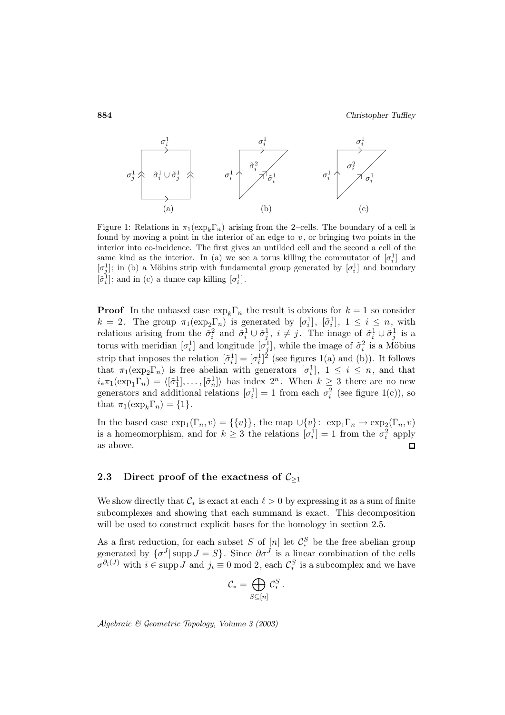

Figure 1: Relations in  $\pi_1(\exp_k\Gamma_n)$  arising from the 2–cells. The boundary of a cell is found by moving a point in the interior of an edge to  $v$ , or bringing two points in the interior into co-incidence. The first gives an untilded cell and the second a cell of the same kind as the interior. In (a) we see a torus killing the commutator of  $[\sigma_i^1]$  and  $[\sigma_j^1]$ ; in (b) a Möbius strip with fundamental group generated by  $[\sigma_i^1]$  and boundary  $[\tilde{\sigma}_i^1]$ ; and in (c) a dunce cap killing  $[\sigma_i^1]$ .

**Proof** In the unbased case  $\exp_k \Gamma_n$  the result is obvious for  $k = 1$  so consider  $k = 2$ . The group  $\pi_1(\exp_2\Gamma_n)$  is generated by  $[\sigma_i^1], [\tilde{\sigma}_i^1], 1 \le i \le n$ , with relations arising from the  $\tilde{\sigma}_i^2$  and  $\tilde{\sigma}_i^1 \cup \tilde{\sigma}_j^1$ ,  $i \neq j$ . The image of  $\tilde{\sigma}_i^1 \cup \tilde{\sigma}_j^1$  is a torus with meridian  $[\sigma_i^1]$  and longitude  $[\sigma_j^1]$ , while the image of  $\tilde{\sigma}_i^2$  is a Möbius strip that imposes the relation  $[\tilde{\sigma}_i^1] = [\sigma_i^1]^2$  (see figures 1(a) and (b)). It follows that  $\pi_1(\exp_2\Gamma_n)$  is free abelian with generators  $[\sigma_i^1]$ ,  $1 \leq i \leq n$ , and that  $i_*\pi_1(\exp_1\Gamma_n) = \langle [\tilde{\sigma}_1^1], \ldots, [\tilde{\sigma}_n^1] \rangle$  has index  $2^n$ . When  $k \geq 3$  there are no new generators and additional relations  $[\sigma_i^1] = 1$  from each  $\sigma_i^2$  (see figure 1(c)), so that  $\pi_1(\exp_k\Gamma_n) = \{1\}.$ 

In the based case  $\exp_1(\Gamma_n, v) = \{\{v\}\}\$ , the map  $\cup \{v\}$ :  $\exp_1\Gamma_n \to \exp_2(\Gamma_n, v)$ is a homeomorphism, and for  $k \geq 3$  the relations  $[\sigma_i^1] = 1$  from the  $\sigma_i^2$  apply as above.

## **2.3** Direct proof of the exactness of  $C_{\geq 1}$

We show directly that  $\mathcal{C}_*$  is exact at each  $\ell > 0$  by expressing it as a sum of finite subcomplexes and showing that each summand is exact. This decomposition will be used to construct explicit bases for the homology in section 2.5.

As a first reduction, for each subset S of  $[n]$  let  $\mathcal{C}_{*}^{S}$  be the free abelian group generated by  $\{\sigma^J | \text{supp } J = S\}$ . Since  $\partial \sigma^J$  is a linear combination of the cells  $\sigma^{\partial_i(J)}$  with  $i \in \text{supp } J$  and  $j_i \equiv 0 \mod 2$ , each  $\mathcal{C}_{*}^S$  is a subcomplex and we have bset S of<br>Since  $\partial \sigma$ <br>D mod 2, or<br> $\mathcal{C}_* = \bigoplus$ 

$$
\mathcal{C}_* = \bigoplus_{S \subseteq [n]} \mathcal{C}_*^S.
$$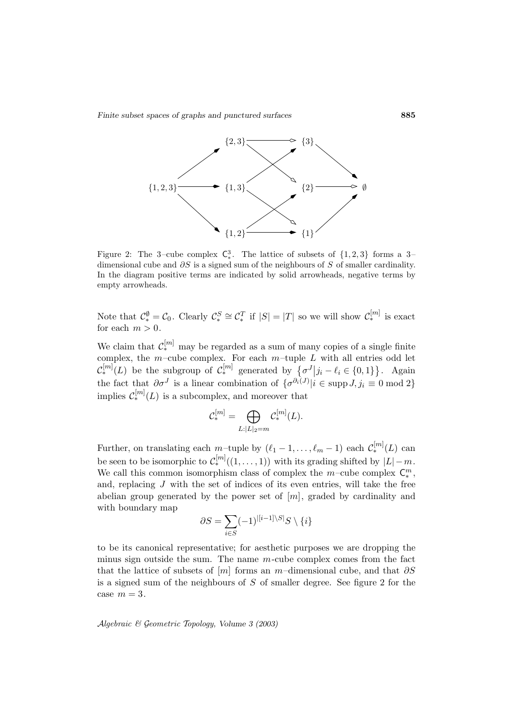*Finite subset spaces of graphs and punctured surfaces* **885**



Figure 2: The 3–cube complex  $\mathsf{C}^3_*$ . The lattice of subsets of  $\{1, 2, 3\}$  forms a 3– dimensional cube and  $\partial S$  is a signed sum of the neighbours of S of smaller cardinality. In the diagram positive terms are indicated by solid arrowheads, negative terms by empty arrowheads.

Note that  $\mathcal{C}_{*}^{\emptyset} = \mathcal{C}_{0}$ . Clearly  $\mathcal{C}_{*}^{S} \cong \mathcal{C}_{*}^{T}$  if  $|S| = |T|$  so we will show  $\mathcal{C}_{*}^{[m]}$  is exact for each  $m > 0$ .  $V_{\rm t}$  will show  $V_{\rm t}$ 

We claim that  $\mathcal{C}_{*}^{[m]}$  may be regarded as a sum of many copies of a single finite complex, the m–cube complex. For each  $m$ –tuple  $L$  with all entries odd let For each  $m > 0$ .<br>
We claim that  $\mathcal{C}_{*}^{[m]}$  may be regarded as a sum of many copies of a single finite<br>
complex, the m-cube complex. For each m-tuple L with all entries odd let<br>  $\mathcal{C}_{*}^{[m]}(L)$  be the subgroup of  $\math$ the fact that  $\partial \sigma^J$  is a linear combination of  $\{\sigma^{\partial_i(J)} | i \in \text{supp } J, j_i \equiv 0 \text{ mod } 2\}$ implies  $\mathcal{C}_{*}^{[m]}(L)$  is a subcomplex, and moreover that f  $\mathcal{C}_*^{[m]}$  gener<br>ir combinatic<br>plex, and me<br> $\mathcal{C}_*^{[m]} = \bigoplus$ 

$$
\mathcal{C}_{*}^{[m]} = \bigoplus_{L:|L|_2 = m} \mathcal{C}_{*}^{[m]}(L).
$$

Further, on translating each m–tuple by  $(\ell_1 - 1, \ldots, \ell_m - 1)$  each  $C_*^{[m]}(L)$  can be seen to be isomorphic to  $\mathcal{C}_{*}^{[m]}((1,\ldots,1))$  with its grading shifted by  $|L|-m$ . We call this common isomorphism class of complex the m-cube complex  $C_*^m$ ,<br>and, replacing J with the set of indices of its even entries, will take the free<br>abelian group generated by the power set of  $[m]$ , graded by card and, replacing  $J$  with the set of indices of its even entries, will take the free abelian group generated by the power set of  $[m]$ , graded by cardinality and with boundary map

$$
\partial S = \sum_{i \in S} (-1)^{|[i-1] \backslash S|} S \setminus \{i\}
$$

to be its canonical representative; for aesthetic purposes we are dropping the minus sign outside the sum. The name  $m$ -cube complex comes from the fact that the lattice of subsets of  $[m]$  forms an m–dimensional cube, and that  $\partial S$ is a signed sum of the neighbours of S of smaller degree. See figure 2 for the case  $m = 3$ .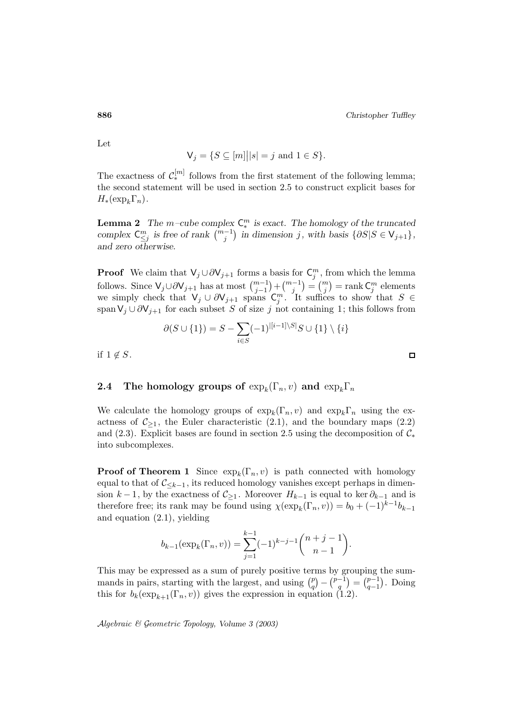Let

$$
\mathsf{V}_j = \{ S \subseteq [m] \big| |s| = j \text{ and } 1 \in S \}.
$$

The exactness of  $\mathcal{C}_{*}^{[m]}$  follows from the first statement of the following lemma; the second statement will be used in section 2.5 to construct explicit bases for  $H_*(\exp_k\Gamma_n).$ 

**Lemma 2** *The*  $m$ *-cube complex*  $C_*^m$  *is exact. The homology of the truncated complex*  $C_{\leq j}^m$  *is free of rank*  $\binom{m-1}{j}$  *in dimension j, with basis* {∂*S*|S ∈ V<sub>j+1</sub>}*, i*, *c*<sub>*m*</sub> *is free of rank*  $\binom{m-1}{j}$  *in dimension j, with basis* {∂*S*|S ∈ V<sub>j+1</sub>}*, and zero otherwise.*

**Proof** We claim that  $\mathsf{V}_j \cup \partial \mathsf{V}_{j+1}$  forms a basis for  $\mathsf{C}_j^m$ , from which the lemma follows. Since V<sub>j</sub>∪∂V<sub>j+1</sub> has at most  $\binom{m_j-1}{j}$  in dimensional decree otherwise.<br>**Proof** We claim that  $V_j \cup \partial V_{j+1}$  forms a follows. Since  $V_j \cup \partial V_{j+1}$  has at most  $\binom{m-1}{j-1}$  $\begin{align} \text{pass of } \mathbf{r} \ \text{basis for } \mathbf{r} + \left(\begin{array}{c} m-1 \ j \end{array}\right) \end{align}$ with basis  $\{ \partial S | S \in V_{j+1} \},$ <br>  $C_j^m$ , from which the lemma<br>  $= {m \choose j} = \text{rank } C_j^m$  elements we simply check that  $\mathsf{V}_j \cup \partial \mathsf{V}_{j+1}$  spans  $\mathsf{C}_j^m$ . It suffices to show that  $S \in$ span  $V_j \cup \partial V_{j+1}$  for each subset S of size j not containing 1; this follows from <sup>∂</sup>(<sup>S</sup> ∪ {1}) = <sup>S</sup> <sup>−</sup><sup>X</sup>

$$
\partial(S \cup \{1\}) = S - \sum_{i \in S} (-1)^{|[i-1] \setminus S|} S \cup \{1\} \setminus \{i\}
$$

if  $1 \notin S$ .

## **2.4** The homology groups of  $\exp_k(\Gamma_n, v)$  and  $\exp_k\Gamma_n$

We calculate the homology groups of  $\exp_k(\Gamma_n, v)$  and  $\exp_k\Gamma_n$  using the exactness of  $\mathcal{C}_{\geq 1}$ , the Euler characteristic  $(2.1)$ , and the boundary maps  $(2.2)$ and (2.3). Explicit bases are found in section 2.5 using the decomposition of  $\mathcal{C}_*$ into subcomplexes.

**Proof of Theorem 1** Since  $\exp_k(\Gamma_n, v)$  is path connected with homology equal to that of  $\mathcal{C}_{\leq k-1}$ , its reduced homology vanishes except perhaps in dimension  $k - 1$ , by the exactness of  $C_{\geq 1}$ . Moreover  $H_{k-1}$  is equal to ker  $\partial_{k-1}$  and is<br>therefore free; its rank may be found using  $\chi(\exp_k(\Gamma_n, v)) = b_0 + (-1)^{k-1}b_{k-1}$ <br>and equation (2.1), yielding<br> $b_{k-1}(\exp_k(\Gamma_n, v)) = \sum$ therefore free; its rank may be found using  $\chi(\exp_k(\Gamma_n, v)) = b_0 + (-1)^{k-1}b_{k-1}$ and equation (2.1), yielding

$$
b_{k-1}(\exp_k(\Gamma_n, v)) = \sum_{j=1}^{k-1} (-1)^{k-j-1} \binom{n+j-1}{n-1}.
$$
  
pressed as a sum of purely positive terms by gr  
starting with the largest, and using  $\binom{p}{q} - \binom{p-1}{q}$ 

This may be expressed as a sum of purely positive terms by grouping the sum $b_{k-1}(\exp_k(\Gamma_n, v)) = \sum_{j=1}^{k-1} (-1)^{k-j-1} {n \choose r}$ <br>This may be expressed as a sum of purely positive term<br>mands in pairs, starting with the largest, and using  ${p \choose q}$ ouping the sum-<br>=  $\binom{p-1}{q-1}$ . Doing this for  $b_k(\exp_{k+1}(\Gamma_n, v))$  gives the expression in equation (1.2).

Algebraic & Geometric Topology*, Volume 3 (2003)*

 $\Box$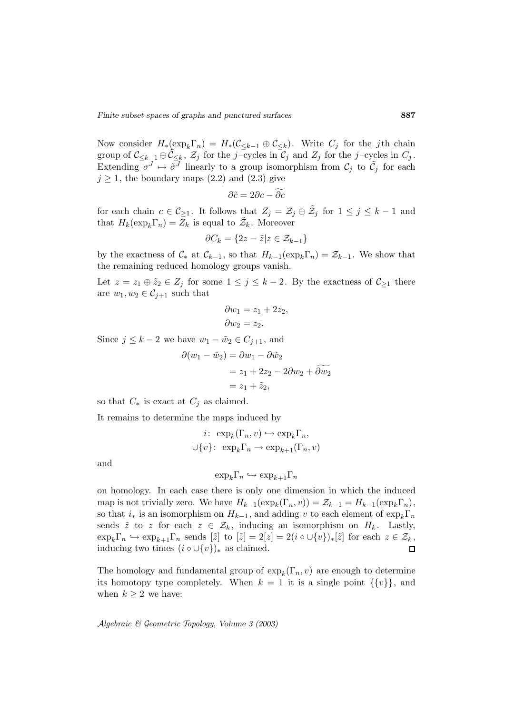Now consider  $H_*(\exp_k\Gamma_n) = H_*(\mathcal{C}_{\le k-1} \oplus \mathcal{C}_{\le k}).$  Write  $C_j$  for the j<sup>th</sup> chain group of  $C_{\leq k-1} \oplus \widetilde{C}_{\leq k}$ ,  $\widetilde{Z}_j$  for the j-cycles in  $C_j$  and  $Z_j$  for the j-cycles in  $C_j$ .<br>Extending  $\sigma^J \mapsto \widetilde{\sigma}^J$  linearly to a group isomorphism from  $C_j$  to  $\widetilde{C}_j$  for each  $j \geq 1$ , the bound Extending  $\sigma^J \mapsto \tilde{\sigma}^J$  linearly to a group isomorphism from  $\mathcal{C}_j$  to  $\tilde{\mathcal{C}}_j$  for each  $j \geq 1$ , the boundary maps  $(2.2)$  and  $(2.3)$  give

$$
\partial \tilde{c} = 2\partial c - \partial c
$$

for each chain  $c \in \mathcal{C}_{\geq 1}$ . It follows that  $Z_j = \mathcal{Z}_j \oplus \tilde{\mathcal{Z}}_j$  for  $1 \leq j \leq k-1$  and that  $H_k(\exp_k\Gamma_n) = Z_k$  is equal to  $\mathcal{Z}_k$ . Moreover

$$
\partial C_k = \{ 2z - \tilde{z} | z \in \mathcal{Z}_{k-1} \}
$$

by the exactness of  $C_*$  at  $C_{k-1}$ , so that  $H_{k-1}(\exp_k\Gamma_n) = \mathcal{Z}_{k-1}$ . We show that the remaining reduced homology groups vanish.

Let  $z = z_1 \oplus \tilde{z}_2 \in Z_j$  for some  $1 \leq j \leq k-2$ . By the exactness of  $\mathcal{C}_{\geq 1}$  there are  $w_1, w_2 \in C_{j+1}$  such that

$$
\partial w_1 = z_1 + 2z_2, \n\partial w_2 = z_2.
$$

Since  $j \leq k-2$  we have  $w_1 - \tilde{w}_2 \in C_{j+1}$ , and

$$
ow_2 = z_2.
$$
  
\nhave  $w_1 - \tilde{w}_2 \in C_{j+1}$ , and  
\n
$$
\partial(w_1 - \tilde{w}_2) = \partial w_1 - \partial \tilde{w}_2
$$
\n
$$
= z_1 + 2z_2 - 2\partial w_2 + \partial \tilde{w}_2
$$
\n
$$
= z_1 + \tilde{z}_2,
$$

so that  $C_*$  is exact at  $C_j$  as claimed.

It remains to determine the maps induced by

$$
i: \ \exp_k(\Gamma_n, v) \hookrightarrow \exp_k\Gamma_n,
$$
  

$$
\cup \{v\}: \ \exp_k\Gamma_n \to \exp_{k+1}(\Gamma_n, v)
$$

and

$$
\exp_k \Gamma_n \hookrightarrow \exp_{k+1} \Gamma_n
$$

on homology. In each case there is only one dimension in which the induced map is not trivially zero. We have  $H_{k-1}(\exp_k(\Gamma_n, v)) = \mathcal{Z}_{k-1} = H_{k-1}(\exp_k\Gamma_n)$ , so that  $i_*$  is an isomorphism on  $H_{k-1}$ , and adding v to each element of  $\exp_k \Gamma_n$ sends  $\tilde{z}$  to z for each  $z \in \mathcal{Z}_k$ , inducing an isomorphism on  $H_k$ . Lastly,  $\exp_k \Gamma_n \hookrightarrow \exp_{k+1} \Gamma_n$  sends  $[\tilde{z}]$  to  $[\tilde{z}] = 2[z] = 2(i \circ \cup \{v\})_*[\tilde{z}]$  for each  $z \in \mathcal{Z}_k$ , inducing two times  $(i \circ \cup \{v\})_*$  as claimed.  $\Box$ 

The homology and fundamental group of  $\exp_k(\Gamma_n, v)$  are enough to determine its homotopy type completely. When  $k = 1$  it is a single point  $\{\{v\}\}\$ , and when  $k \geq 2$  we have: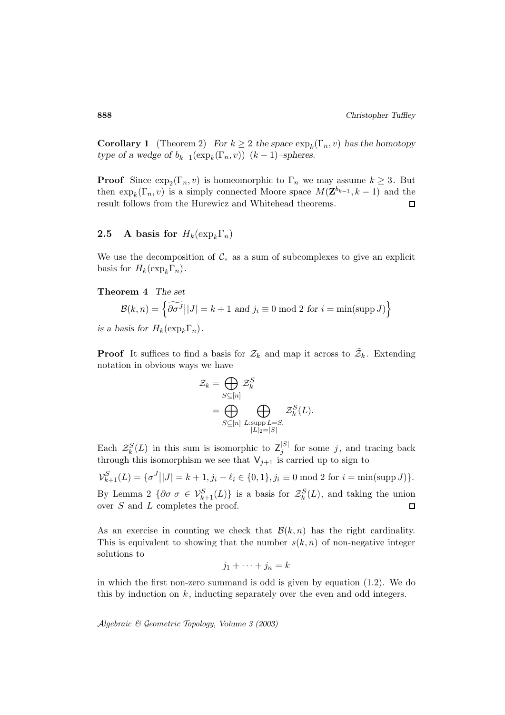**Corollary 1** (Theorem 2) *For*  $k \geq 2$  *the space*  $\exp_k(\Gamma_n, v)$  *has the homotopy type of a wedge of*  $b_{k-1}(\exp_k(\Gamma_n, v))$   $(k-1)$ –spheres.

**Proof** Since  $\exp_2(\Gamma_n, v)$  is homeomorphic to  $\Gamma_n$  we may assume  $k \geq 3$ . But then  $\exp_k(\Gamma_n, v)$  is a simply connected Moore space  $M(\mathbf{Z}^{b_{k-1}}, k-1)$  and the result follows from the Hurewicz and Whitehead theorems.  $\Box$ 

# **2.5** A basis for  $H_k(\exp_k \Gamma_n)$

We use the decomposition of  $\mathcal{C}_*$  as a sum of subcomplexes to give an explicit basis for  $H_k(\exp_k\Gamma_n)$ . se the decomposition  $H_k(\exp_k \Gamma_n)$ .<br> **rem 4** The set<br>  $\mathcal{B}(k, n) = \begin{cases} \widetilde{\partial \sigma^J} \end{cases}$ 

## **Theorem 4** *The set*

$$
\mathcal{B}(k,n) = \left\{ \widetilde{\partial \sigma^J} | |J| = k+1 \text{ and } j_i \equiv 0 \text{ mod } 2 \text{ for } i = \min(\text{supp } J) \right\}
$$

*is a basis for*  $H_k(\exp_k \Gamma_n)$ .

**Proof** It suffices to find a basis for  $\mathcal{Z}_k$  and map it across to  $\tilde{\mathcal{Z}}_k$ . Extending notation in obvious ways we have<br>  $\mathcal{Z}_k = \bigoplus_{S \subseteq [n]}$ <br>  $= \bigoplus$ a basis for we have  $\mathcal{Z}_k = \bigoplus$  $\frac{1}{\sqrt{2}}$ 

$$
\mathcal{Z}_k = \bigoplus_{S \subseteq [n]} \mathcal{Z}_k^S
$$
  
= 
$$
\bigoplus_{S \subseteq [n]} \bigoplus_{\substack{L:\text{supp } L = S, \\ |L|_2 = |S|}} \mathcal{Z}_k^S(L).
$$

Each  $\mathcal{Z}_{k}^{S}(L)$  in this sum is isomorphic to  $\mathcal{Z}_{j}^{S}$  for some j, and tracing back through this isomorphism we see that  $V_{j+1}$  is carried up to sign to ach  $\mathcal{Z}_k^S(L)$  in<br>irough this iso:<br> $\sum_{k+1}^S (L) = {\sigma^J}$ 

 $\mathcal{V}_{k+1}^S(L) = \{ \sigma^J || J || = k+1, j_i - \ell_i \in \{0,1\}, j_i \equiv 0 \text{ mod } 2 \text{ for } i = \min(\text{supp } J) \}.$ By Lemma 2  $\{\partial \sigma | \sigma \in \mathcal{V}_{k+1}^S(L)\}\$ is a basis for  $\mathcal{Z}_k^S(L)$ , and taking the union over  $S$  and  $L$  completes the proof.  $\Box$ 

As an exercise in counting we check that  $\mathcal{B}(k,n)$  has the right cardinality. This is equivalent to showing that the number  $s(k, n)$  of non-negative integer solutions to

$$
j_1 + \dots + j_n = k
$$

in which the first non-zero summand is odd is given by equation (1.2). We do this by induction on  $k$ , inducting separately over the even and odd integers.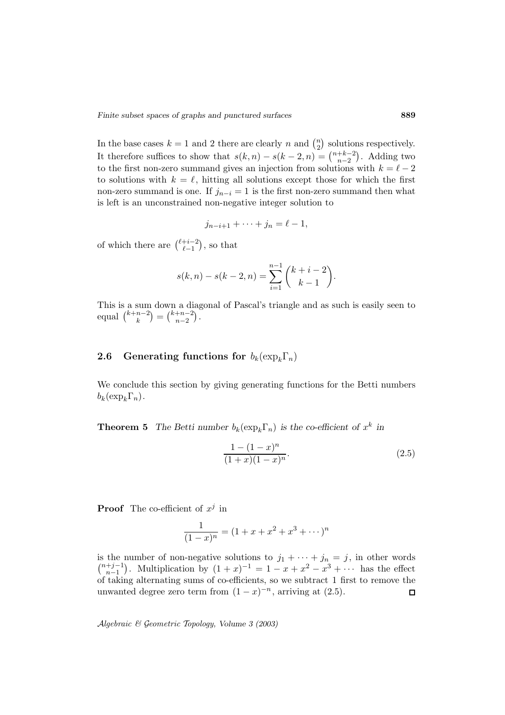Finite subset spaces of graphs and punctured surfaces **889**<br>In the base cases  $k = 1$  and 2 there are clearly n and  $\binom{n}{2}$  solutions respectively. Finite subset spaces of graphs and punctured surfaces<br>In the base cases  $k = 1$  and 2 there are clearly n and  $\binom{n}{2}$  solution<br>It therefore suffices to show that  $s(k, n) - s(k - 2, n) = \binom{n+k-2}{n-2}$  $\binom{+k-2}{n-2}$ . Adding two to the first non-zero summand gives an injection from solutions with  $k = \ell - 2$ to solutions with  $k = \ell$ , hitting all solutions except those for which the first non-zero summand is one. If  $j_{n-i} = 1$  is the first non-zero summand then what is left is an unconstrained non-negative integer solution to is left is an unconstrained non-neg<br>  $j_{n-i+1}$  +<br>
of which there are  $\binom{\ell+i-2}{\ell-1}$ , so that

$$
j_{n-i+1}+\cdots+j_n=\ell-1,
$$

$$
s(k,n) - s(k-2,n) = \sum_{i=1}^{n-1} {k+i-2 \choose k-1}.
$$

This is a sum down a diagonal of Pascal's triangle and as such is easily seen to This is a sum<br>equal  $\binom{k+n-2}{k}$  $s(k, n)$ <br>down a diag<br>=  $\binom{k+n-2}{n-2}$ .

# **2.6 Generating functions for**  $b_k(\exp_k\Gamma_n)$

We conclude this section by giving generating functions for the Betti numbers  $b_k(\exp_k\Gamma_n).$ 

**Theorem 5** *The Betti number*  $b_k(\exp_k\Gamma_n)$  *is the co-efficient of*  $x^k$  *in* 

$$
\frac{1 - (1 - x)^n}{(1 + x)(1 - x)^n}.
$$
\n(2.5)

**Proof** The co-efficient of  $x^j$  in

$$
\frac{1}{(1-x)^n} = (1+x+x^2+x^3+\cdots)^n
$$

is the number of non-negative solutions to  $j_1 + \cdots + j_n = j$ , in other words  $\binom{n+j-1}{n}$ . Multiplication by  $\binom{1+n-1}{n-1} = 1$ ,  $\frac{n}{n} + \frac{n^2}{n^3}$ , has the effect  $\binom{+j-1}{n-1}$ . Multiplication by  $(1+x)^{-1} = 1 - x + x^2 - x^3 + \cdots$  has the effect of taking alternating sums of co-efficients, so we subtract 1 first to remove the unwanted degree zero term from  $(1-x)^{-n}$ , arriving at  $(2.5)$ .  $\Box$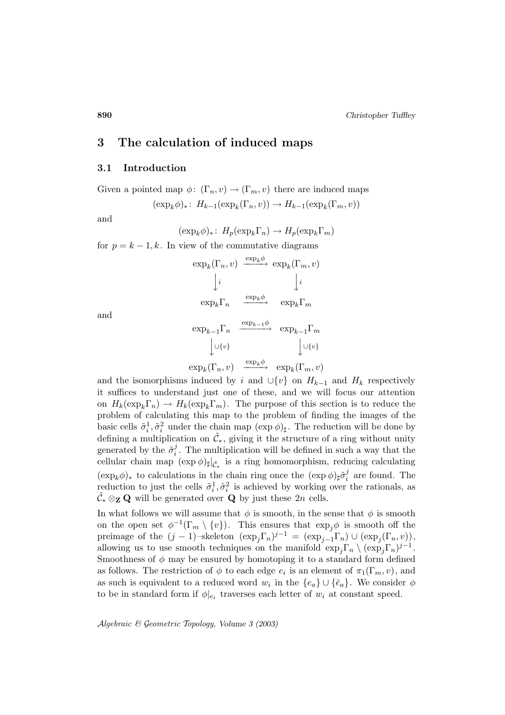# **3 The calculation of induced maps**

## **3.1 Introduction**

Given a pointed map  $\phi: (\Gamma_n, v) \to (\Gamma_m, v)$  there are induced maps

$$
(\exp_k \phi)_* \colon H_{k-1}(\exp_k(\Gamma_n, v)) \to H_{k-1}(\exp_k(\Gamma_m, v))
$$

and

$$
(\exp_k \phi)_* \colon H_p(\exp_k \Gamma_n) \to H_p(\exp_k \Gamma_m)
$$

for  $p = k - 1, k$ . In view of the commutative diagrams

$$
\exp_k(\Gamma_n, v) \xrightarrow{\exp_k \phi} \exp_k(\Gamma_m, v)
$$

$$
\downarrow i \qquad \qquad \downarrow i
$$

$$
\exp_k \Gamma_n \xrightarrow{\exp_k \phi} \exp_k \Gamma_m
$$

$$
\exp_{k-1} \Gamma_n \xrightarrow{\exp_{k-1} \phi} \exp_{k-1} \Gamma_m
$$

and

$$
\begin{array}{ccc}\n\exp_{k-1}\Gamma_n & \xrightarrow{\exp_{k-1}\phi} & \exp_{k-1}\Gamma_m \\
& \downarrow \cup \{v\} & & \downarrow \cup \{v\} \\
\exp_k(\Gamma_n, v) & \xrightarrow{\exp_k\phi} & \exp_k(\Gamma_m, v)\n\end{array}
$$

and the isomorphisms induced by i and  $\cup \{v\}$  on  $H_{k-1}$  and  $H_k$  respectively it suffices to understand just one of these, and we will focus our attention on  $H_k(\exp_k\Gamma_n) \to H_k(\exp_k\Gamma_m)$ . The purpose of this section is to reduce the problem of calculating this map to the problem of finding the images of the basic cells  $\tilde{\sigma}_i^1, \tilde{\sigma}_i^2$  under the chain map  $(\exp \phi)_{\sharp}$ . The reduction will be done by defining a multiplication on  $\tilde{\mathcal{C}}_*$ , giving it the structure of a ring without unity generated by the  $\tilde{\sigma}_i^j$ . The multiplication will be defined in such a way that the cellular chain map  $(\exp \phi)_{\sharp}|_{\tilde{C}_{*}}$  is a ring homomorphism, reducing calculating  $(\exp_k \phi)_*$  to calculations in the chain ring once the  $(\exp \phi)_{\sharp} \tilde{\sigma}_i^j$  are found. The reduction to just the cells  $\tilde{\sigma}_i^1, \tilde{\sigma}_i^2$  is achieved by working over the rationals, as  $\tilde{\mathcal{C}}_* \otimes_{\mathbf{Z}} \mathbf{Q}$  will be generated over  $\mathbf{Q}$  by just these  $2n$  cells.

In what follows we will assume that  $\phi$  is smooth, in the sense that  $\phi$  is smooth on the open set  $\phi^{-1}(\Gamma_m \setminus \{v\})$ . This ensures that  $\exp_i \phi$  is smooth off the preimage of the  $(j-1)$ –skeleton  $(\exp_j \Gamma_n)^{j-1} = (\exp_{j-1} \Gamma_n) \cup (\exp_j(\Gamma_n, v)),$ allowing us to use smooth techniques on the manifold  $\exp_i\Gamma_n \setminus (\exp_i\Gamma_n)^{j-1}$ . Smoothness of  $\phi$  may be ensured by homotoping it to a standard form defined as follows. The restriction of  $\phi$  to each edge  $e_i$  is an element of  $\pi_1(\Gamma_m, v)$ , and as such is equivalent to a reduced word  $w_i$  in the  ${e_a} \cup {e_a}$ . We consider  $\phi$ to be in standard form if  $\phi|_{e_i}$  traverses each letter of  $w_i$  at constant speed.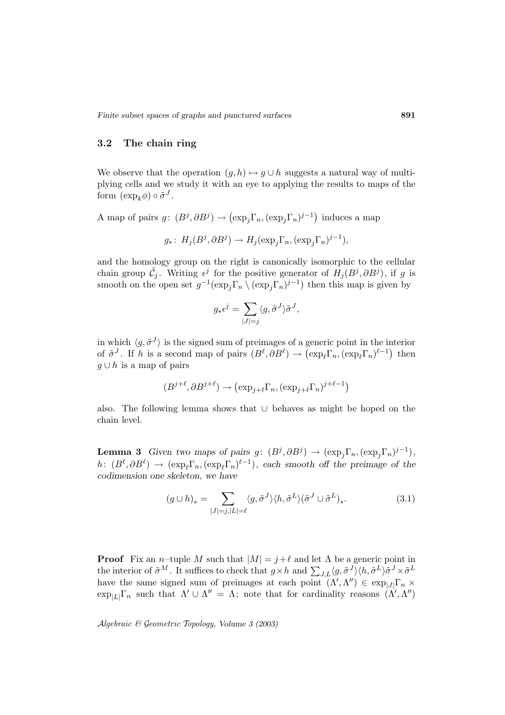## **3.2 The chain ring**

We observe that the operation  $(g, h) \mapsto g \cup h$  suggests a natural way of multiplying cells and we study it with an eye to applying the results to maps of the form  $(\exp_k \phi) \circ \tilde{\sigma}^J$ . We observe that the operation  $(g, h) \mapsto g \cup h$  suggests a natural way<br>plying cells and we study it with an eye to applying the results to ma<br>form  $(\exp_k \phi) \circ \tilde{\sigma}^J$ .<br>A map of pairs  $g: (B^j, \partial B^j) \to (\exp_j \Gamma_n, (\exp_j \Gamma_n)^{j-1})$  induce

$$
g_*\colon H_j(B^j,\partial B^j)\to H_j(\exp_j\Gamma_n,(\exp_j\Gamma_n)^{j-1}),
$$

and the homology group on the right is canonically isomorphic to the cellular chain group  $\tilde{C}_j$ . Writing  $\epsilon^j$  for the positive generator of  $H_j (B^j, \partial B^j)$ , if g is smooth on the open set  $g^{-1}(\exp_j \Gamma_n \setminus (\exp_j \Gamma_n)^{j-1})$  then this map is given by external is<br>the post  $\sum_{j=1}^{n} \sum_{j=1}^{n}$ 

$$
g_* \epsilon^j = \sum_{|J|=j} \langle g, \tilde{\sigma}^J \rangle \tilde{\sigma}^J,
$$

in which  $\langle g, \tilde{\sigma}^{J} \rangle$  is the signed sum of preimages of a generic point in the interior  $g_* \epsilon^j = \sum_{|J|=j} \langle g, \tilde{\sigma}^J \rangle \tilde{\sigma}^J$ ,<br>
in which  $\langle g, \tilde{\sigma}^J \rangle$  is the signed sum of preimages of a generic point in the interior<br>
of  $\tilde{\sigma}^J$ . If h is a second map of pairs  $(B^\ell, \partial B^\ell) \to (\exp_\ell \Gamma_n, (\exp_\ell \Gamma_n)^{\ell-1})$  then  $g \cup h$  is a map of pairs sum of preimages of a generic poi<br>
of pairs  $(B^{\ell}, \partial B^{\ell}) \to (\exp_{\ell} \Gamma_n, (e^{\ell}) \to (\exp_{j+\ell} \Gamma_n)^{j+\ell-1})$ 

$$
(B^{j+\ell}, \partial B^{j+\ell}) \to (\exp_{j+\ell} \Gamma_n, (\exp_{j+\ell} \Gamma_n)^{j+\ell-1})
$$

also. The following lemma shows that ∪ behaves as might be hoped on the chain level.

**Lemma 3** *Given two maps of pairs g:*  $(B^j, \partial B^j) \to (\exp_j \Gamma_n, (\exp_j \Gamma_n)^{j-1}),$ <br>  $h: (B^{\ell}, \partial B^{\ell}) \to (\exp_{\ell} \Gamma_n, (\exp_{\ell} \Gamma_n)^{\ell-1}),$  each smooth off the preimage of the codimension one skeleton, we have<br>  $(g \cup h)_* = \sum \langle g, \tilde{\sigma}^J \rangle \langle h, \tilde$  $h: (B^{\ell}, \partial B^{\ell}) \to (\exp_{\ell} \Gamma_n, (\exp_{\ell} \Gamma_n)^{\ell-1}),$  each smooth off the preimage of the *codimension one skeleton, we have*

$$
(g \cup h)_* = \sum_{|J|=j, |L|=\ell} \langle g, \tilde{\sigma}^J \rangle \langle h, \tilde{\sigma}^L \rangle (\tilde{\sigma}^J \cup \tilde{\sigma}^L)_*.
$$
 (3.1)

**Proof** Fix an n–tuple M such that  $|M| = j + \ell$  and let  $\Lambda$  be a generic point in **Proof** Fix an *n*-tuple *M* such that  $|M| = j + \ell$  and let  $\Lambda$  be a generic point in the interior of  $\tilde{\sigma}^M$ . It suffices to check that  $g \times h$  and  $\sum_{J,L} \langle g, \tilde{\sigma}^J \rangle \langle h, \tilde{\sigma}^L \rangle \tilde{\sigma}^J \times \tilde{\sigma}^L$ have the same signed sum of preimages at each point  $(\Lambda', \Lambda'') \in \exp_{|J|} \Gamma_n \times$  $\exp_{|L|}\Gamma_n$  such that  $\Lambda' \cup \Lambda'' = \Lambda$ ; note that for cardinality reasons  $(\Lambda', \Lambda'')$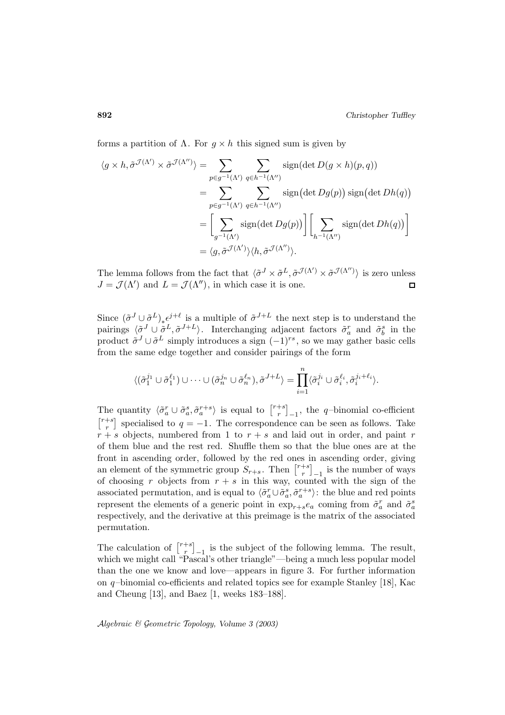forms a partition of  $\Lambda$ . For  $g \times h$  this signed sum is given by

hg × h, σ˜<sup>J</sup> (Λ<sup>0</sup> ) × σ˜<sup>J</sup> (Λ00) i = X p∈g−1(Λ0) q∈h−1(Λ00) sign(det D(g × h)(p, q)) = X Xsign p∈g−1(Λ0) q∈h−1(Λ00) det Dg(p) sign det Dh(q) = Xg−1(Λ0) sign(det Dg(p) Xh−1(Λ00) sign(det Dh(q) = hg, σ˜<sup>J</sup> (Λ<sup>0</sup> ) ihh, σ˜<sup>J</sup> (Λ00) i.

The lemma follows from the fact that  $\langle \tilde{\sigma}^J \times \tilde{\sigma}^L, \tilde{\sigma}^{\mathcal{J}(\Lambda')} \times \tilde{\sigma}^{\mathcal{J}(\Lambda'')} \rangle$  is zero unless  $J = \mathcal{J}(\Lambda')$  and  $L = \mathcal{J}(\Lambda'')$ , in which case it is one.  $\Box$ 

Since  $({\tilde{\sigma}}^{J} \cup {\tilde{\sigma}}^{L})_{*} \epsilon^{j+\ell}$  is a multiple of  ${\tilde{\sigma}}^{J+L}$  the next step is to understand the pairings  $\langle \tilde{\sigma}^J \cup \tilde{\sigma}^L, \tilde{\sigma}^{J+L} \rangle$ . Interchanging adjacent factors  $\tilde{\sigma}_a^r$  and  $\tilde{\sigma}_b^s$  in the product  $\tilde{\sigma}^J \cup \tilde{\sigma}^L$  simply introduces a sign  $(-1)^{rs}$ , so we may gather basic cells from the same edge together and consider pairings of the form nging adjacent<br>
a sign  $(-1)^{rs}$ , sc<br>
nsider pairings c<br>  $\binom{\ell_n}{n}, \tilde{\sigma}^{J+L} \rangle = \prod^n$ 

$$
\langle (\tilde{\sigma}_1^{j_1} \cup \tilde{\sigma}_1^{\ell_1}) \cup \cdots \cup (\tilde{\sigma}_n^{j_n} \cup \tilde{\sigma}_n^{\ell_n}), \tilde{\sigma}^{J+L} \rangle = \prod_{i=1}^n \langle \tilde{\sigma}_i^{j_i} \cup \tilde{\sigma}_i^{\ell_i}, \tilde{\sigma}_i^{j_i+\ell_i} \rangle.
$$
  
The quantity  $\langle \tilde{\sigma}_a^r \cup \tilde{\sigma}_a^s, \tilde{\sigma}_a^{r+s} \rangle$  is equal to  $\begin{bmatrix} r+s \\ r \end{bmatrix}_{-1}$ , the *q*-binomial c

 $\binom{+s}{r}_{-1}$ , the q-binomial co-efficient  $r+s$ <sup>+s</sup>] specialised to  $q = -1$ . The correspondence can be seen as follows. Take  $r + s$  objects, numbered from 1 to  $r + s$  and laid out in order, and paint r of them blue and the rest red. Shuffle them so that the blue ones are at the front in ascending order, followed by the red ones in ascending order, giving  $\begin{bmatrix} r+s \\ r \end{bmatrix}$  specialised to  $q = -1$ . The correspondence ca  $r + s$  objects, numbered from 1 to  $r + s$  and laid of them blue and the rest red. Shuffle them so that front in ascending order, followed by the red ones is an  $\binom{+s}{r}_{-1}$  is the number of ways of choosing r objects from  $r + s$  in this way, counted with the sign of the associated permutation, and is equal to  $\langle \tilde{\sigma}_a^r \cup \tilde{\sigma}_a^s, \tilde{\sigma}_a^{r+s} \rangle$ : the blue and red points<br>represent the elements of a generic point in our canonical from  $\tilde{\sigma}_a^r$  and  $\tilde{\sigma}_a^s$ represent the elements of a generic point in  $\exp_{r+s}e_a$  coming from  $\tilde{\sigma}_a^r$  and  $\tilde{\sigma}_a^s$ respectively, and the derivative at this preimage is the matrix of the associated permutation. represent the elements<br>respectively, and the de<br>permutation.<br>The calculation of  $\begin{bmatrix} r+s \end{bmatrix}$ 

 $\binom{+s}{r}_{-1}$  is the subject of the following lemma. The result, which we might call "Pascal's other triangle"—being a much less popular model than the one we know and love—appears in figure 3. For further information on  $q$ -binomial co-efficients and related topics see for example Stanley [18], Kac and Cheung [13], and Baez [1, weeks 183–188].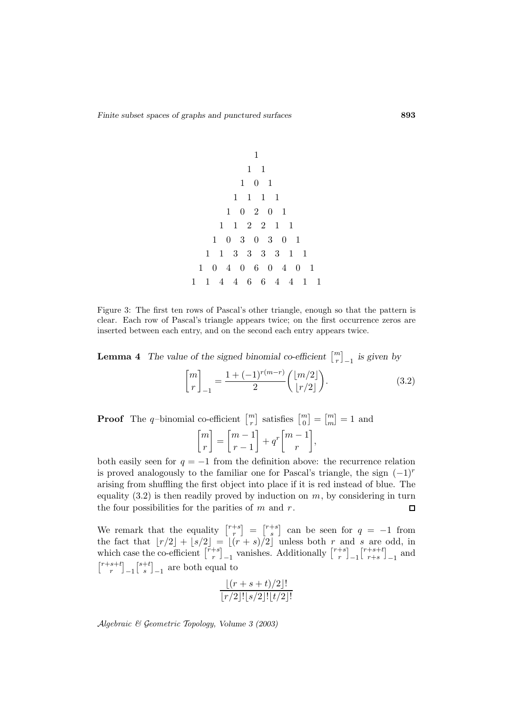1 1 1 101 1111 10201 112211 1030301 11333311 104060401 1144664411

Figure 3: The first ten rows of Pascal's other triangle, enough so that the pattern is clear. Each row of Pascal's triangle appears twice; on the first occurrence zeros are inserted between each entry, and on the second each entry appears twice. Figure 3: The first ten rows of Pascal's other triangle, enough sclear. Each row of Pascal's triangle appears twice; on the first inserted between each entry, and on the second each entry appear<br>**Lemma 4** *The value of th* 

 $\binom{m}{r}_{-1}$  is given by

$$
\begin{bmatrix} m \\ r \end{bmatrix}_{-1} = \frac{1 + (-1)^{r(m-r)}}{2} \begin{pmatrix} \lfloor m/2 \rfloor \\ \lfloor r/2 \rfloor \end{pmatrix}.
$$
 (3.2)  
**Proof** The *q*-binomial co-efficient  $\begin{bmatrix} m \\ r \end{bmatrix}$  satisfies  $\begin{bmatrix} m \\ 0 \end{bmatrix} = \begin{bmatrix} m \\ m \end{bmatrix} = 1$  and

 $\frac{n}{r}$ .  $\begin{matrix} n \ 0 \end{matrix}$  $\binom{m}{m} = 1$  and  $\lceil m$ r  $\Big] = \Big[ \begin{matrix} m-1 \\ 1 \end{matrix}$  $r-1$  $\Big\} + q^r \Big\lceil m - 1$ r ,

both easily seen for  $q = -1$  from the definition above: the recurrence relation is proved analogously to the familiar one for Pascal's triangle, the sign  $(-1)^r$ arising from shuffling the first object into place if it is red instead of blue. The arising from shuffling the first objec<br>equality (3.2) is then readily proved<br>the four possibilities for the parities<br>We remark that the equality  $\int_{r}^{r+s}$ into play<br>f m an<br>=  $\int_{0}^{r+s}$ equality  $(3.2)$  is then readily proved by induction on  $m$ , by considering in turn the four possibilities for the parities of  $m$  and  $r$ .  $\Box$ 

 $r \over r$ .  $s^{\{+s\}}$  can be seen for  $q = -1$  from the fact that  $\lfloor r/2 \rfloor + \lfloor s/2 \rfloor = \lfloor (r + s)/2 \rfloor$  unless both r and s are odd, in the four possibilities for the pa<br>We remark that the equality<br>the fact that  $\lfloor r/2 \rfloor + \lfloor s/2 \rfloor =$ <br>which case the co-efficient  $\lfloor \frac{r+s}{r} \rfloor$  $r \over r$ . rities of *m* and *r*.<br>  $\begin{bmatrix} r+s \\ r \end{bmatrix} = \begin{bmatrix} r+s \\ s \end{bmatrix}$  can be seen<br>  $\lfloor (r+s)/2 \rfloor$  unless both *r*<br>
<sub>-1</sub> vanishes. Additionally [  $r+s$  $\left.\begin{matrix} +s\ r \end{matrix}\right\}$   $-1$  $r+s+t$  $\left.\begin{array}{c} +s+t \\ r+s \end{array}\right]_{-1}$  and  $r+s+t$  $r \quad \square -1$  $s+t$  $\binom{+t}{s}_{-1}$  are both equal to

$$
\frac{\lfloor (r+s+t)/2 \rfloor!}{\lfloor r/2 \rfloor! \lfloor s/2 \rfloor! \lfloor t/2 \rfloor!}
$$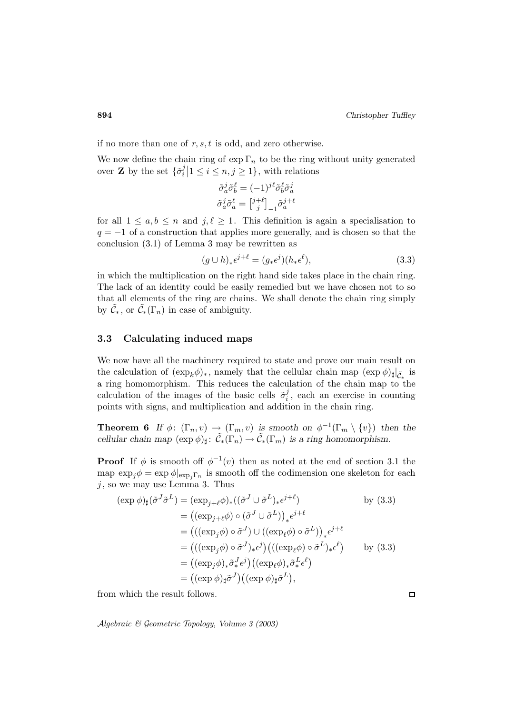if no more than one of  $r, s, t$  is odd, and zero otherwise.

We now define the chain ring of  $\exp \Gamma_n$  to be the ring without unity generated over **Z** by the set  $\{\tilde{\sigma}_i^j | 1 \leq i \leq n, j \geq 1\}$ , with relations

of 
$$
\exp \Gamma_n
$$
 to be the  
\n $\tilde{z}$   $n, j \ge 1$ , with rel  
\n $\tilde{\sigma}_a^j \tilde{\sigma}_b^{\ell} = (-1)^{j\ell} \tilde{\sigma}_b^{\ell} \tilde{\sigma}_a^j$   
\n $\tilde{\sigma}_a^j \tilde{\sigma}_a^{\ell} = \begin{bmatrix} j+\ell \\ j \end{bmatrix}_{-1} \tilde{\sigma}_a^{j+\ell}$ 

for all  $1 \leq a, b \leq n$  and  $j, \ell \geq 1$ . This definition is again a specialisation to  $q = -1$  of a construction that applies more generally, and is chosen so that the conclusion (3.1) of Lemma 3 may be rewritten as

$$
(g \cup h)_* \epsilon^{j+\ell} = (g_* \epsilon^j)(h_* \epsilon^\ell), \tag{3.3}
$$

in which the multiplication on the right hand side takes place in the chain ring. The lack of an identity could be easily remedied but we have chosen not to so that all elements of the ring are chains. We shall denote the chain ring simply by  $\tilde{\mathcal{C}}_*$ , or  $\tilde{\mathcal{C}}_*$  ( $\Gamma_n$ ) in case of ambiguity.

## **3.3 Calculating induced maps**

We now have all the machinery required to state and prove our main result on the calculation of  $(\exp_k \phi)_*,$  namely that the cellular chain map  $(\exp \phi)_\sharp|_{\tilde{C}_*}$  is a ring homomorphism. This reduces the calculation of the chain map to the calculation of the images of the basic cells  $\tilde{\sigma}_i^j$ , each an exercise in counting points with signs, and multiplication and addition in the chain ring.

**Theorem 6** *If*  $\phi$ :  $(\Gamma_n, v) \to (\Gamma_m, v)$  *is smooth on*  $\phi^{-1}(\Gamma_m \setminus \{v\})$  *then the cellular chain map*  $(\exp \phi)_{\sharp} : \tilde{C}_{*}(\Gamma_n) \to \tilde{C}_{*}(\Gamma_m)$  *is a ring homomorphism.* 

**Proof** If  $\phi$  is smooth off  $\phi^{-1}(v)$  then as noted at the end of section 3.1 the map  $\exp_j \phi = \exp \phi|_{\exp_j \Gamma_n}$  is smooth off the codimension one skeleton for each<br>
j, so we may use Lemma 3. Thus<br>  $(\exp \phi)_{\sharp}(\tilde{\sigma}^J \tilde{\sigma}^L) = (\exp_{j+\ell} \phi)_{*}((\tilde{\sigma}^J \cup \tilde{\sigma}^L)_{*}e^{j+\ell})$  by (3.3)<br>  $= ((\exp_{j+\ell} \phi) \circ (\tilde{\sigma}^J \cup \tilde$ 

$$
\begin{aligned}\nj, \text{ so we may use Lemma 3. Thus} \\
(\exp \phi)_{\sharp} (\tilde{\sigma}^J \tilde{\sigma}^L) &= (\exp_{j+\ell} \phi)_{*} ((\tilde{\sigma}^J \cup \tilde{\sigma}^L)_{*} \epsilon^{j+\ell}) \qquad \text{by (3.3)} \\
&= ((\exp_{j+\ell} \phi) \circ (\tilde{\sigma}^J \cup \tilde{\sigma}^L))_{*} \epsilon^{j+\ell} \\
&= (((\exp_{j} \phi) \circ \tilde{\sigma}^J) \cup ((\exp_{\ell} \phi) \circ \tilde{\sigma}^L))_{*} \epsilon^{j+\ell} \\
&= (((\exp_{j} \phi) \circ \tilde{\sigma}^J)_{*} \epsilon^{j}) (((\exp_{\ell} \phi) \circ \tilde{\sigma}^L)_{*} \epsilon^{\ell}) \qquad \text{by (3.3)} \\
&= ((\exp_{j} \phi)_{*} \tilde{\sigma}^J_{*} \epsilon^{j}) ((\exp_{\ell} \phi)_{*} \tilde{\sigma}^L_{*} \epsilon^{\ell}) \\
&= ((\exp \phi)_{\sharp} \tilde{\sigma}^J) ((\exp \phi)_{\sharp} \tilde{\sigma}^L),\n\end{aligned}
$$

from which the result follows.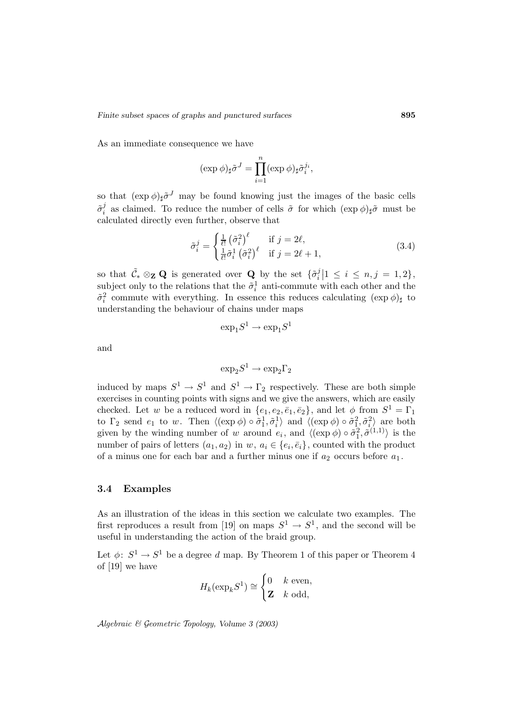As an immediate consequence we have

as and punctured surfaces  
hence we have  

$$
(\exp \phi)_{\sharp} \tilde{\sigma}^{J} = \prod_{i=1}^{n} (\exp \phi)_{\sharp} \tilde{\sigma}^{j_i}_{i},
$$

so that  $(\exp \phi)_{\sharp} \tilde{\sigma}^{J}$  may be found knowing just the images of the basic cells  $\tilde{\sigma}_i^j$  as claimed. To reduce the number of cells  $\tilde{\sigma}$  for which  $(\exp \phi)_{\sharp} \tilde{\sigma}$  must be calculated directly even further, observe that

$$
\tilde{\sigma}_i^j = \begin{cases} \frac{1}{\ell!} \left( \tilde{\sigma}_i^2 \right)^{\ell} & \text{if } j = 2\ell, \\ \frac{1}{\ell!} \tilde{\sigma}_i^1 \left( \tilde{\sigma}_i^2 \right)^{\ell} & \text{if } j = 2\ell + 1, \end{cases}
$$
(3.4)

so that  $\tilde{\mathcal{C}}_* \otimes_{\mathbf{Z}} \mathbf{Q}$  is generated over  $\mathbf{Q}$  by the set  $\{\tilde{\sigma}_i^j | 1 \leq i \leq n, j = 1, 2\},\$ subject only to the relations that the  $\tilde{\sigma}_i^1$  anti-commute with each other and the  $\tilde{\sigma}_i^2$  commute with everything. In essence this reduces calculating  $(\exp \phi)_{\sharp}$  to understanding the behaviour of chains under maps

$$
\exp_1S^1 \to \exp_1S^1
$$

and

$$
\exp_2S^1\to\exp_2\Gamma_2
$$

induced by maps  $S^1 \to S^1$  and  $S^1 \to \Gamma_2$  respectively. These are both simple exercises in counting points with signs and we give the answers, which are easily checked. Let w be a reduced word in  $\{e_1, e_2, \bar{e}_1, \bar{e}_2\}$ , and let  $\phi$  from  $S^1 = \Gamma_1$ to  $\Gamma_2$  send  $e_1$  to w. Then  $\langle (\exp \phi) \circ \tilde{\sigma}_1^1, \tilde{\sigma}_i^1 \rangle$  and  $\langle (\exp \phi) \circ \tilde{\sigma}_1^2, \tilde{\sigma}_i^2 \rangle$  are both given by the winding number of w around  $e_i$ , and  $\langle (\exp \phi) \circ \tilde{\sigma}_1^2, \tilde{\sigma}^{(1,1)} \rangle$  is the number of pairs of letters  $(a_1, a_2)$  in  $w, a_i \in \{e_i, \bar{e}_i\}$ , counted with the product of a minus one for each bar and a further minus one if  $a_2$  occurs before  $a_1$ .

## **3.4 Examples**

As an illustration of the ideas in this section we calculate two examples. The first reproduces a result from [19] on maps  $S^1 \to S^1$ , and the second will be useful in understanding the action of the braid group.

Let  $\phi: S^1 \to S^1$  be a degree d map. By Theorem 1 of this paper or Theorem 4 of [19] we have

$$
H_k(\exp_k S^1) \cong \begin{cases} 0 & k \text{ even,} \\ \mathbf{Z} & k \text{ odd,} \end{cases}
$$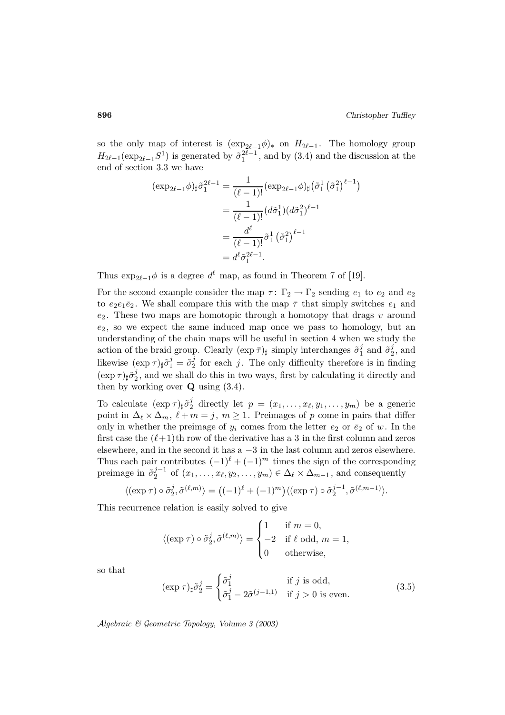so the only map of interest is  $(\exp_{2\ell-1}\phi)_*$  on  $H_{2\ell-1}$ . The homology group  $H_{2\ell-1}(\exp_{2\ell-1}S^1)$  is generated by  $\tilde{\sigma}_1^{2\ell-1}$ , and by (3.4) and the discussion at the end of section 3.3 we have  $\theta$  hoi<br>  $\theta$  dise

$$
(\exp_{2\ell-1}\phi)_{\sharp}\tilde{\sigma}_{1}^{2\ell-1} = \frac{1}{(\ell-1)!}(\exp_{2\ell-1}\phi)_{\sharp}\left(\tilde{\sigma}_{1}^{1}\left(\tilde{\sigma}_{1}^{2}\right)^{\ell-1}\right)
$$

$$
= \frac{1}{(\ell-1)!}(d\tilde{\sigma}_{1}^{1})(d\tilde{\sigma}_{1}^{2})^{\ell-1}
$$

$$
= \frac{d^{\ell}}{(\ell-1)!}\tilde{\sigma}_{1}^{1}\left(\tilde{\sigma}_{1}^{2}\right)^{\ell-1}
$$

$$
= d^{\ell}\tilde{\sigma}_{1}^{2\ell-1}.
$$

Thus  $\exp_{2\ell-1}\phi$  is a degree  $d^{\ell}$  map, as found in Theorem 7 of [19].

For the second example consider the map  $\tau: \Gamma_2 \to \Gamma_2$  sending  $e_1$  to  $e_2$  and  $e_2$ to  $e_2e_1\bar{e}_2$ . We shall compare this with the map  $\bar{\tau}$  that simply switches  $e_1$  and  $e_2$ . These two maps are homotopic through a homotopy that drags  $v$  around  $e_2$ , so we expect the same induced map once we pass to homology, but an understanding of the chain maps will be useful in section 4 when we study the action of the braid group. Clearly  $(\exp \bar{\tau})_{\sharp}$  simply interchanges  $\tilde{\sigma}_1^j$  and  $\tilde{\sigma}_2^j$ , and likewise  $(\exp \tau)_{\sharp} \tilde{\sigma}_1^j = \tilde{\sigma}_2^j$  for each j. The only difficulty therefore is in finding  $(\exp \tau)_{\sharp} \tilde{\sigma}_2^j$ , and we shall do this in two ways, first by calculating it directly and then by working over  $Q$  using  $(3.4)$ .

To calculate  $(\exp \tau)_{\sharp} \tilde{\sigma}_2^j$  directly let  $p = (x_1, \ldots, x_{\ell}, y_1, \ldots, y_m)$  be a generic point in  $\Delta_{\ell} \times \Delta_m$ ,  $\ell + m = j$ ,  $m \ge 1$ . Preimages of p come in pairs that differ only in whether the preimage of  $y_i$  comes from the letter  $e_2$  or  $\bar{e}_2$  of w. In the first case the  $(\ell+1)$ th row of the derivative has a 3 in the first column and zeros elsewhere, and in the second it has a −3 in the last column and zeros elsewhere. Thus each pair contributes  $(-1)^{\ell} + (-1)^m$  times the sign of the corresponding preimage in  $\tilde{\sigma}_2^{j-1}$  of  $(x_1,\ldots,x_\ell,y_2,\ldots,y_m) \in \Delta_\ell \times \Delta_{m-1}$ , and consequently of the derivative has<br>
ad it has a -3 in the<br>
s  $(-1)^{\ell} + (-1)^m$  tim<br>
..,  $x_{\ell}, y_2, \ldots, y_m) \in \mathcal{U}$ <br>  $\rangle = ((-1)^{\ell} + (-1)^m)$  $y_{\scriptscriptstyle{y}}$ 

$$
\langle (\exp \tau) \circ \tilde{\sigma}_2^j, \tilde{\sigma}^{(\ell,m)} \rangle = \big((-1)^{\ell} + (-1)^m\big) \langle (\exp \tau) \circ \tilde{\sigma}_2^{j-1}, \tilde{\sigma}^{(\ell,m-1)} \rangle.
$$

This recurrence relation is easily solved to give

$$
\langle (\exp \tau) \circ \tilde{\sigma}_2^j, \tilde{\sigma}^{(\ell,m)} \rangle = \begin{cases} 1 & \text{if } m = 0, \\ -2 & \text{if } \ell \text{ odd}, m = 1, \\ 0 & \text{otherwise}, \end{cases}
$$

so that

$$
(\exp \tau)_{\sharp} \tilde{\sigma}_2^j = \begin{cases} \tilde{\sigma}_1^j & \text{if } j \text{ is odd,} \\ \tilde{\sigma}_1^j - 2\tilde{\sigma}^{(j-1,1)} & \text{if } j > 0 \text{ is even.} \end{cases}
$$
(3.5)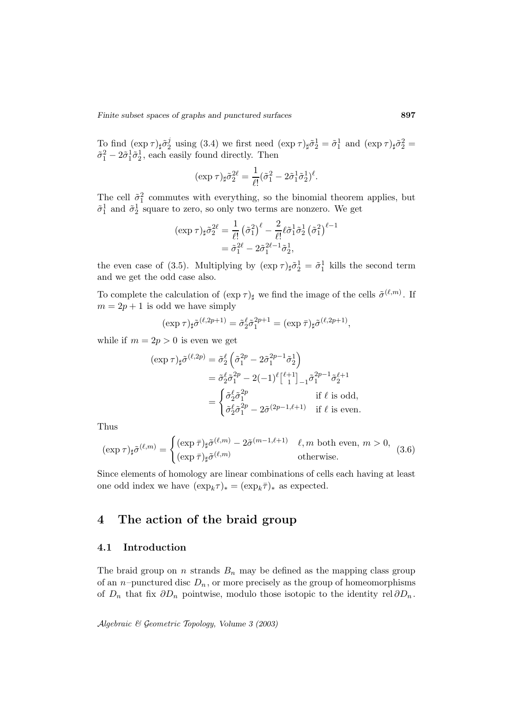To find  $(\exp \tau)_{\sharp} \tilde{\sigma}_2^j$  using (3.4) we first need  $(\exp \tau)_{\sharp} \tilde{\sigma}_2^1 = \tilde{\sigma}_1^1$  and  $(\exp \tau)_{\sharp} \tilde{\sigma}_2^2 =$  $\tilde{\sigma}_1^2 - 2\tilde{\sigma}_1^1 \tilde{\sigma}_2^1$ , each easily found directly. Then

$$
(\exp \tau)_{\sharp} \tilde{\sigma}_2^{2\ell} = \frac{1}{\ell!} (\tilde{\sigma}_1^2 - 2\tilde{\sigma}_1^1 \tilde{\sigma}_2^1)^{\ell}.
$$

The cell  $\tilde{\sigma}_1^2$  commutes with everything, so the binomial theorem applies, but  $\tilde{\sigma}_1^1$  and  $\tilde{\sigma}_2^1$  square to zero, so only two terms are nonzero. We get

$$
(\exp \tau)_{\sharp}\tilde{\sigma}_{2}^{2\ell} = \frac{1}{\ell!} (\tilde{\sigma}_{1}^{2})^{\ell} - \frac{2}{\ell!} \ell \tilde{\sigma}_{1}^{1} \tilde{\sigma}_{2}^{1} (\tilde{\sigma}_{1}^{2})^{\ell-1}
$$

$$
= \tilde{\sigma}_{1}^{2\ell} - 2\tilde{\sigma}_{1}^{2\ell-1} \tilde{\sigma}_{2}^{1},
$$

the even case of (3.5). Multiplying by  $(\exp \tau)_{\sharp} \tilde{\sigma}_2^1 = \tilde{\sigma}_1^1$  kills the second term and we get the odd case also.

To complete the calculation of  $(\exp \tau)_{\sharp}$  we find the image of the cells  $\tilde{\sigma}^{(\ell,m)}$ . If  $m = 2p + 1$  is odd we have simply

$$
(\exp \tau)_{\sharp} \tilde{\sigma}^{(\ell, 2p+1)} = \tilde{\sigma}_2^{\ell} \tilde{\sigma}_1^{2p+1} = (\exp \bar{\tau})_{\sharp} \tilde{\sigma}^{(\ell, 2p+1)},
$$

while if  $m = 2p > 0$  is even we get

$$
(\exp \tau)_{\sharp} \tilde{\sigma}^{(\ell,2p)} = \tilde{\sigma}_2^{\ell} \left( \tilde{\sigma}_1^{2p} - 2 \tilde{\sigma}_1^{2p-1} \tilde{\sigma}_2^1 \right)
$$
  
\n
$$
= \tilde{\sigma}_2^{\ell} \tilde{\sigma}_1^{2p} - 2(-1)^{\ell} {\ell+1 \brack 1}_{-1} \tilde{\sigma}_1^{2p-1} \tilde{\sigma}_2^{\ell+1}
$$
  
\n
$$
= \begin{cases} \tilde{\sigma}_2^{\ell} \tilde{\sigma}_1^{2p} & \text{if } \ell \text{ is odd,} \\ \tilde{\sigma}_2^{\ell} \tilde{\sigma}_1^{2p} - 2 \tilde{\sigma}^{(2p-1,\ell+1)} & \text{if } \ell \text{ is even.} \end{cases}
$$

Thus

$$
(\exp \tau)_{\sharp} \tilde{\sigma}^{(\ell,m)} = \begin{cases} (\exp \bar{\tau})_{\sharp} \tilde{\sigma}^{(\ell,m)} - 2 \tilde{\sigma}^{(m-1,\ell+1)} & \ell, m \text{ both even, } m > 0, \\ (\exp \bar{\tau})_{\sharp} \tilde{\sigma}^{(\ell,m)} & \text{otherwise.} \end{cases}
$$
(3.6)

Since elements of homology are linear combinations of cells each having at least one odd index we have  $(\exp_k \tau)_* = (\exp_k \overline{\tau})_*$  as expected.

# **4 The action of the braid group**

### **4.1 Introduction**

The braid group on n strands  $B_n$  may be defined as the mapping class group of an *n*–punctured disc  $D_n$ , or more precisely as the group of homeomorphisms of  $D_n$  that fix  $\partial D_n$  pointwise, modulo those isotopic to the identity rel  $\partial D_n$ .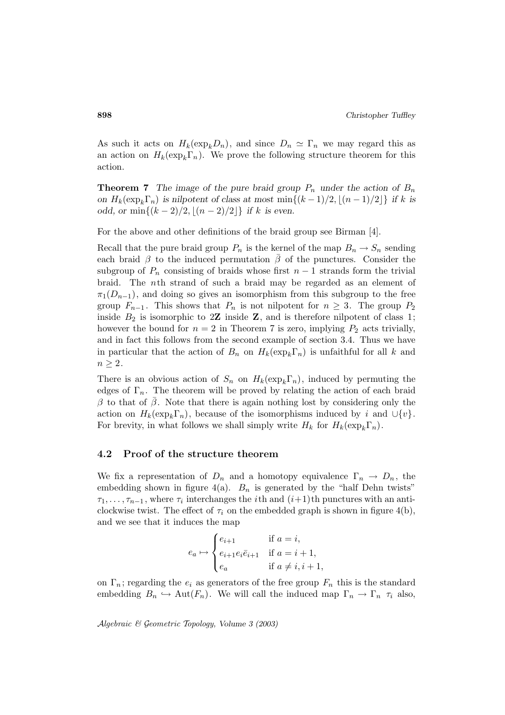As such it acts on  $H_k(\exp_k D_n)$ , and since  $D_n \simeq \Gamma_n$  we may regard this as an action on  $H_k(\exp_k\Gamma_n)$ . We prove the following structure theorem for this action.

**Theorem 7** *The image of the pure braid group*  $P_n$  *under the action of*  $B_n$ *on*  $H_k(\exp_k\Gamma_n)$  *is nilpotent of class at most* min $\{(k-1)/2, |(n-1)/2|\}$  *if* k *is odd, or* min $\{(k-2)/2, |(n-2)/2|\}$  *if* k *is even.* 

For the above and other definitions of the braid group see Birman [4].

Recall that the pure braid group  $P_n$  is the kernel of the map  $B_n \to S_n$  sending each braid  $\beta$  to the induced permutation  $\bar{\beta}$  of the punctures. Consider the subgroup of  $P_n$  consisting of braids whose first  $n-1$  strands form the trivial braid. The nth strand of such a braid may be regarded as an element of  $\pi_1(D_{n-1})$ , and doing so gives an isomorphism from this subgroup to the free group  $F_{n-1}$ . This shows that  $P_n$  is not nilpotent for  $n \geq 3$ . The group  $P_2$ inside  $B_2$  is isomorphic to 2**Z** inside **Z**, and is therefore nilpotent of class 1; however the bound for  $n = 2$  in Theorem 7 is zero, implying  $P_2$  acts trivially, and in fact this follows from the second example of section 3.4. Thus we have in particular that the action of  $B_n$  on  $H_k(\exp_k\Gamma_n)$  is unfaithful for all k and  $n \geq 2$ .

There is an obvious action of  $S_n$  on  $H_k(\exp_k\Gamma_n)$ , induced by permuting the edges of  $\Gamma_n$ . The theorem will be proved by relating the action of each braid β to that of β. Note that there is again nothing lost by considering only the action on  $H_k(\exp_k\Gamma_n)$ , because of the isomorphisms induced by i and  $\cup \{v\}$ . For brevity, in what follows we shall simply write  $H_k$  for  $H_k(\exp_k\Gamma_n)$ .

### **4.2 Proof of the structure theorem**

We fix a representation of  $D_n$  and a homotopy equivalence  $\Gamma_n \to D_n$ , the embedding shown in figure 4(a).  $B_n$  is generated by the "half Dehn twists"  $\tau_1,\ldots,\tau_{n-1}$ , where  $\tau_i$  interchanges the *i*th and  $(i+1)$ th punctures with an anticlockwise twist. The effect of  $\tau_i$  on the embedded graph is shown in figure 4(b), and we see that it induces the map

$$
e_a \mapsto \begin{cases} e_{i+1} & \text{if } a = i, \\ e_{i+1}e_i\overline{e}_{i+1} & \text{if } a = i+1, \\ e_a & \text{if } a \neq i, i+1, \end{cases}
$$

on  $\Gamma_n$ ; regarding the  $e_i$  as generators of the free group  $F_n$  this is the standard embedding  $B_n \hookrightarrow \text{Aut}(F_n)$ . We will call the induced map  $\Gamma_n \to \Gamma_n \tau_i$  also,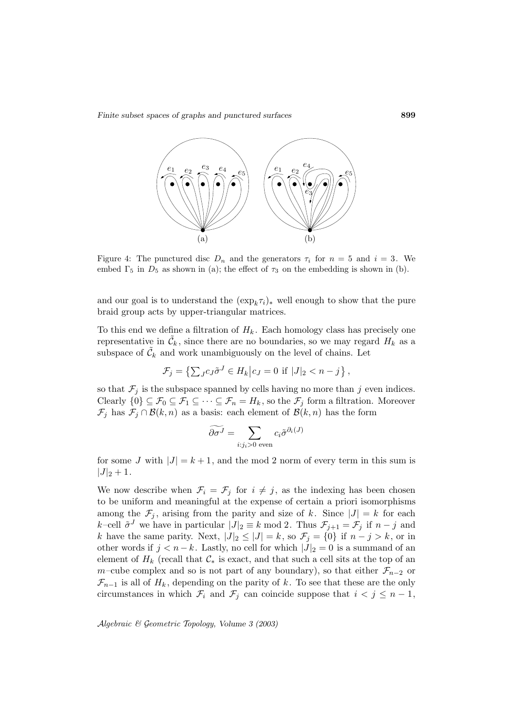*Finite subset spaces of graphs and punctured surfaces* **899**



Figure 4: The punctured disc  $D_n$  and the generators  $\tau_i$  for  $n = 5$  and  $i = 3$ . We embed  $\Gamma_5$  in  $D_5$  as shown in (a); the effect of  $\tau_3$  on the embedding is shown in (b).

and our goal is to understand the  $(\exp_k \tau_i)_*$  well enough to show that the pure braid group acts by upper-triangular matrices.

To this end we define a filtration of  $H_k$ . Each homology class has precisely one representative in  $\tilde{\mathcal{C}}_k$ , since there are no boundaries, so we may regard  $H_k$  as a subspace of  $\tilde{\mathcal{C}}_k$  and work unambiguously on the level of chains. Let lefine a fil<br>  $\tilde{\mathcal{C}}_k$ , since<br>
and work<br>  $\mathcal{F}_j = \{\sum_k \}$  $I_k$ . Each homology class

$$
\mathcal{F}_j = \left\{ \sum_{J} c_J \tilde{\sigma}^J \in H_k \middle| c_J = 0 \text{ if } |J|_2 < n - j \right\},
$$

so that  $\mathcal{F}_j$  is the subspace spanned by cells having no more than j even indices. Clearly  $\{0\} \subseteq \mathcal{F}_0 \subseteq \mathcal{F}_1 \subseteq \cdots \subseteq \mathcal{F}_n = H_k$ , so the  $\mathcal{F}_j$  form a filtration. Moreover  $\mathcal{F}_j$  has  $\mathcal{F}_j \cap \mathcal{B}(k,n)$  as a basis: each element of  $\mathcal{B}(k,n)$  has the form panned by cel<br>  $\cdot \subseteq \mathcal{F}_n = H_k$ <br>
sis: each elen<br>  $\widetilde{\partial \sigma}$ <sup>*J*</sup> =  $\sum$ 

$$
\widetilde{\partial \sigma^J} = \sum_{i:j_i>0 \text{ even}} c_i \widetilde{\sigma}^{\partial_i(J)}
$$

for some J with  $|J| = k + 1$ , and the mod 2 norm of every term in this sum is  $|J|_2 + 1.$ 

We now describe when  $\mathcal{F}_i = \mathcal{F}_j$  for  $i \neq j$ , as the indexing has been chosen to be uniform and meaningful at the expense of certain a priori isomorphisms among the  $\mathcal{F}_j$ , arising from the parity and size of k. Since  $|J| = k$  for each k–cell  $\tilde{\sigma}^J$  we have in particular  $|J|_2 \equiv k \mod 2$ . Thus  $\mathcal{F}_{j+1} = \mathcal{F}_j$  if  $n-j$  and k have the same parity. Next,  $|J|_2 \leq |J| = k$ , so  $\mathcal{F}_j = \{0\}$  if  $n - j > k$ , or in other words if  $j < n - k$ . Lastly, no cell for which  $|J|_2 = 0$  is a summand of an element of  $H_k$  (recall that  $\mathcal{C}_*$  is exact, and that such a cell sits at the top of an m–cube complex and so is not part of any boundary), so that either  $\mathcal{F}_{n-2}$  or  $\mathcal{F}_{n-1}$  is all of  $H_k$ , depending on the parity of k. To see that these are the only circumstances in which  $\mathcal{F}_i$  and  $\mathcal{F}_j$  can coincide suppose that  $i < j \leq n - 1$ ,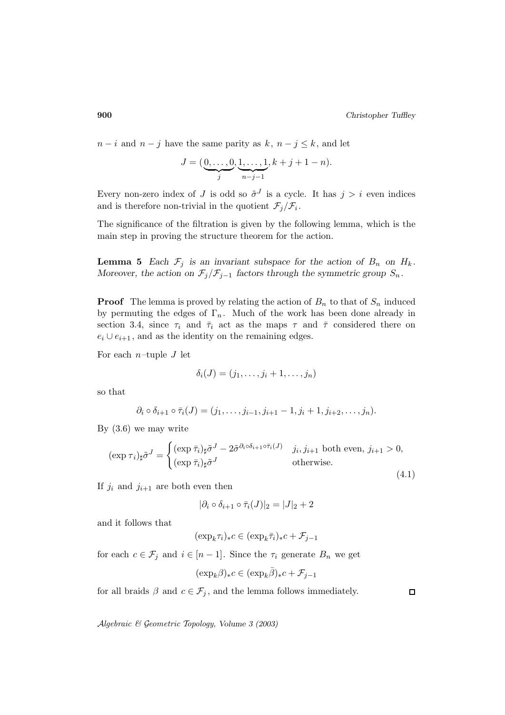$n-i$  and  $n-j$  have the same parity as  $k, n-j \leq k$ , and let

e the same parity as 
$$
k, n - j \le k
$$
, an  
\n
$$
J = (\underbrace{0, \dots, 0}_{j}, \underbrace{1, \dots, 1}_{n-j-1}, k+j+1-n).
$$

Every non-zero index of J is odd so  $\tilde{\sigma}^J$  is a cycle. It has  $j>i$  even indices and is therefore non-trivial in the quotient  $\mathcal{F}_j/\mathcal{F}_i$ .

The significance of the filtration is given by the following lemma, which is the main step in proving the structure theorem for the action.

**Lemma 5** *Each*  $\mathcal{F}_j$  *is an invariant subspace for the action of*  $B_n$  *on*  $H_k$ *. Moreover, the action on*  $\mathcal{F}_j/\mathcal{F}_{j-1}$  *factors through the symmetric group*  $S_n$ *.* 

**Proof** The lemma is proved by relating the action of  $B_n$  to that of  $S_n$  induced by permuting the edges of  $\Gamma_n$ . Much of the work has been done already in section 3.4, since  $\tau_i$  and  $\bar{\tau}_i$  act as the maps  $\tau$  and  $\bar{\tau}$  considered there on  $e_i \cup e_{i+1}$ , and as the identity on the remaining edges.

For each  $n$ -tuple J let

$$
\delta_i(J)=(j_1,\ldots,j_i+1,\ldots,j_n)
$$

so that

$$
\partial_i \circ \delta_{i+1} \circ \overline{\tau}_i(J) = (j_1, \ldots, j_{i-1}, j_{i+1} - 1, j_i + 1, j_{i+2}, \ldots, j_n).
$$

By (3.6) we may write

$$
(\exp \tau_i)_{\sharp} \tilde{\sigma}^J = \begin{cases} (\exp \bar{\tau}_i)_{\sharp} \tilde{\sigma}^J - 2 \tilde{\sigma}^{\partial_i \circ \delta_{i+1} \circ \bar{\tau}_i(J)} & j_i, j_{i+1} \text{ both even, } j_{i+1} > 0, \\ (\exp \bar{\tau}_i)_{\sharp} \tilde{\sigma}^J & \text{otherwise.} \end{cases}
$$
\n(4.1)

If  $j_i$  and  $j_{i+1}$  are both even then

$$
|\partial_i \circ \delta_{i+1} \circ \bar\tau_i(J)|_2 = |J|_2 + 2
$$

and it follows that

$$
(\exp_k \tau_i)_* c \in (\exp_k \bar{\tau}_i)_* c + \mathcal{F}_{j-1}
$$

for each  $c \in \mathcal{F}_j$  and  $i \in [n-1]$ . Since the  $\tau_i$  generate  $B_n$  we get

$$
(\exp_k \beta)_* c \in (\exp_k \overline{\beta})_* c + \mathcal{F}_{j-1}
$$

for all braids  $\beta$  and  $c \in \mathcal{F}_j$ , and the lemma follows immediately.

 $\Box$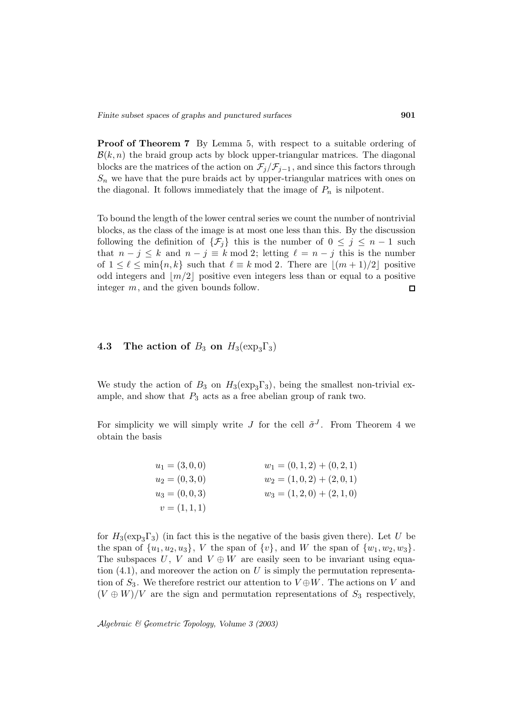**Proof of Theorem 7** By Lemma 5, with respect to a suitable ordering of  $\mathcal{B}(k,n)$  the braid group acts by block upper-triangular matrices. The diagonal blocks are the matrices of the action on  $\mathcal{F}_j/\mathcal{F}_{j-1}$ , and since this factors through  $S_n$  we have that the pure braids act by upper-triangular matrices with ones on the diagonal. It follows immediately that the image of  $P_n$  is nilpotent.

To bound the length of the lower central series we count the number of nontrivial blocks, as the class of the image is at most one less than this. By the discussion following the definition of  $\{\mathcal{F}_j\}$  this is the number of  $0 \leq j \leq n-1$  such that  $n - j \leq k$  and  $n - j \equiv k \mod 2$ ; letting  $\ell = n - j$  this is the number of  $1 \leq \ell \leq \min\{n, k\}$  such that  $\ell \equiv k \mod 2$ . There are  $|(m + 1)/2|$  positive odd integers and  $|m/2|$  positive even integers less than or equal to a positive integer m, and the given bounds follow.  $\Box$ 

# **4.3** The action of  $B_3$  on  $H_3(\exp_3\Gamma_3)$

We study the action of  $B_3$  on  $H_3(\exp_3\Gamma_3)$ , being the smallest non-trivial example, and show that  $P_3$  acts as a free abelian group of rank two.

For simplicity we will simply write J for the cell  $\tilde{\sigma}^J$ . From Theorem 4 we obtain the basis

| $u_1 = (3,0,0)$ | $w_1 = (0,1,2) + (0,2,1)$ |
|-----------------|---------------------------|
| $u_2=(0,3,0)$   | $w_2 = (1,0,2) + (2,0,1)$ |
| $u_3=(0,0,3)$   | $w_3 = (1,2,0) + (2,1,0)$ |
| $v=(1,1,1)$     |                           |

for  $H_3(\exp_3\Gamma_3)$  (in fact this is the negative of the basis given there). Let U be the span of  $\{u_1, u_2, u_3\}$ , V the span of  $\{v\}$ , and W the span of  $\{w_1, w_2, w_3\}$ . The subspaces U, V and  $V \oplus W$  are easily seen to be invariant using equation  $(4.1)$ , and moreover the action on U is simply the permutation representation of  $S_3$ . We therefore restrict our attention to  $V \oplus W$ . The actions on V and  $(V \oplus W)/V$  are the sign and permutation representations of  $S_3$  respectively,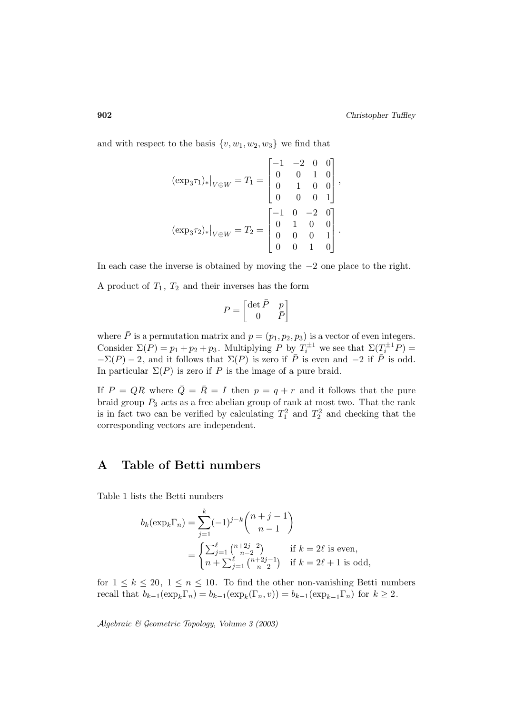and with respect to the basis  $\{v, w_1, w_2, w_3\}$  we find that

$$
(\exp_3 \tau_1)_*|_{V \oplus W} = T_1 = \begin{bmatrix} -1 & -2 & 0 & 0 \\ 0 & 0 & 1 & 0 \\ 0 & 1 & 0 & 0 \\ 0 & 0 & 0 & 1 \end{bmatrix},
$$

$$
(\exp_3 \tau_2)_*|_{V \oplus W} = T_2 = \begin{bmatrix} -1 & 0 & -2 & 0 \\ 0 & 1 & 0 & 0 \\ 0 & 0 & 0 & 1 \\ 0 & 0 & 1 & 0 \end{bmatrix}.
$$

In each case the inverse is obtained by moving the −2 one place to the right.

A product of  $T_1$ ,  $T_2$  and their inverses has the form

$$
P = \begin{bmatrix} \det \bar{P} & p \\ 0 & \bar{P} \end{bmatrix}
$$

where  $\bar{P}$  is a permutation matrix and  $p = (p_1, p_2, p_3)$  is a vector of even integers. Consider  $\Sigma(P) = p_1 + p_2 + p_3$ . Multiplying P by  $T_i^{\pm 1}$  we see that  $\Sigma(T_i^{\pm 1}P)$  =  $-\Sigma(P) - 2$ , and it follows that  $\Sigma(P)$  is zero if  $\overline{P}$  is even and  $-2$  if  $\overline{P}$  is odd. In particular  $\Sigma(P)$  is zero if P is the image of a pure braid.

If  $P = QR$  where  $\overline{Q} = \overline{R} = I$  then  $p = q + r$  and it follows that the pure braid group  $P_3$  acts as a free abelian group of rank at most two. That the rank is in fact two can be verified by calculating  $T_1^2$  and  $T_2^2$  and checking that the corresponding vectors are independent.

# **A Table of Betti numbers**

Table 1 lists the Betti numbers  $\mathbf{m}$ be

$$
b_k(\exp_k \Gamma_n) = \sum_{j=1}^k (-1)^{j-k} \binom{n+j-1}{n-1}
$$

$$
= \begin{cases} \sum_{j=1}^\ell \binom{n+2j-2}{n-2} & \text{if } k = 2\ell \text{ is even,} \\ n + \sum_{j=1}^\ell \binom{n+2j-1}{n-2} & \text{if } k = 2\ell+1 \text{ is odd,} \end{cases}
$$

for  $1 \leq k \leq 20$ ,  $1 \leq n \leq 10$ . To find the other non-vanishing Betti numbers recall that  $b_{k-1}(\exp_k\Gamma_n) = b_{k-1}(\exp_k(\Gamma_n,v)) = b_{k-1}(\exp_{k-1}\Gamma_n)$  for  $k \geq 2$ .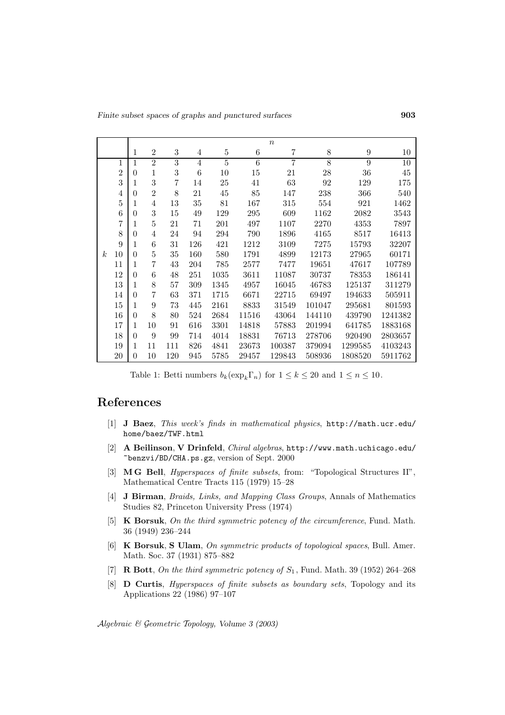*Finite subset spaces of graphs and punctured surfaces* **903**

|                  |                | $\boldsymbol{n}$ |                  |                |                |                |                |                |                |                  |         |
|------------------|----------------|------------------|------------------|----------------|----------------|----------------|----------------|----------------|----------------|------------------|---------|
|                  |                | 1                | $\overline{2}$   | 3              | 4              | $\bf 5$        | $\,6$          | 7              | 8              | $\boldsymbol{9}$ | 10      |
|                  | 1              | $\mathbf{1}$     | $\overline{2}$   | $\overline{3}$ | $\overline{4}$ | $\overline{5}$ | $\overline{6}$ | $\overline{7}$ | $\overline{8}$ | $\overline{9}$   | 10      |
|                  | $\overline{2}$ | $\theta$         | 1                | 3              | 6              | 10             | 15             | 21             | 28             | 36               | 45      |
|                  | 3              | 1                | 3                | 7              | 14             | 25             | 41             | 63             | 92             | 129              | 175     |
|                  | 4              | $\theta$         | $\overline{2}$   | 8              | 21             | 45             | 85             | 147            | 238            | 366              | 540     |
|                  | 5              | 1                | $\overline{4}$   | 13             | 35             | 81             | 167            | 315            | 554            | 921              | 1462    |
|                  | 6              | $\Omega$         | 3                | 15             | 49             | 129            | 295            | 609            | 1162           | 2082             | 3543    |
|                  | 7              | 1                | $\bf 5$          | 21             | 71             | 201            | 497            | 1107           | 2270           | 4353             | 7897    |
|                  | 8              | $\Omega$         | $\overline{4}$   | 24             | 94             | 294            | 790            | 1896           | 4165           | 8517             | 16413   |
|                  | 9              | 1                | 6                | 31             | 126            | 421            | 1212           | 3109           | 7275           | 15793            | 32207   |
| $\boldsymbol{k}$ | 10             | $\theta$         | $\bf 5$          | 35             | 160            | 580            | 1791           | 4899           | 12173          | 27965            | 60171   |
|                  | 11             | 1                | 7                | 43             | 204            | 785            | 2577           | 7477           | 19651          | 47617            | 107789  |
|                  | 12             | $\theta$         | 6                | 48             | 251            | 1035           | 3611           | 11087          | 30737          | 78353            | 186141  |
|                  | 13             | 1                | 8                | 57             | 309            | 1345           | 4957           | 16045          | 46783          | 125137           | 311279  |
|                  | 14             | $\Omega$         | 7                | 63             | 371            | 1715           | 6671           | 22715          | 69497          | 194633           | 505911  |
|                  | 15             | 1                | $\boldsymbol{9}$ | 73             | 445            | 2161           | 8833           | 31549          | 101047         | 295681           | 801593  |
|                  | 16             | $\theta$         | 8                | 80             | 524            | 2684           | 11516          | 43064          | 144110         | 439790           | 1241382 |
|                  | 17             | 1                | 10               | 91             | 616            | 3301           | 14818          | 57883          | 201994         | 641785           | 1883168 |
|                  | 18             | $\Omega$         | 9                | 99             | 714            | 4014           | 18831          | 76713          | 278706         | 920490           | 2803657 |
|                  | 19             | 1                | 11               | 111            | 826            | 4841           | 23673          | 100387         | 379094         | 1299585          | 4103243 |
|                  | 20             | $\theta$         | 10               | 120            | 945            | 5785           | 29457          | 129843         | 508936         | 1808520          | 5911762 |

Table 1: Betti numbers  $b_k(\exp_k\Gamma_n)$  for  $1 \leq k \leq 20$  and  $1 \leq n \leq 10$ .

# **References**

- [1] **J Baez**, This week's finds in mathematical physics, http://math.ucr.edu/ home/baez/TWF.html
- [2] **A Beilinson**, **V Drinfeld**, Chiral algebras, http://www.math.uchicago.edu/ ~benzvi/BD/CHA.ps.gz, version of Sept. 2000
- [3] **M G Bell**, Hyperspaces of finite subsets, from: "Topological Structures II", Mathematical Centre Tracts 115 (1979) 15–28
- [4] **J Birman**, Braids, Links, and Mapping Class Groups, Annals of Mathematics Studies 82, Princeton University Press (1974)
- [5] **K Borsuk**, On the third symmetric potency of the circumference, Fund. Math. 36 (1949) 236–244
- [6] **K Borsuk**, **S Ulam**, On symmetric products of topological spaces, Bull. Amer. Math. Soc. 37 (1931) 875–882
- [7] **R Bott**, On the third symmetric potency of  $S_1$ , Fund. Math. 39 (1952) 264–268
- [8] **D Curtis**, Hyperspaces of finite subsets as boundary sets, Topology and its Applications 22 (1986) 97–107